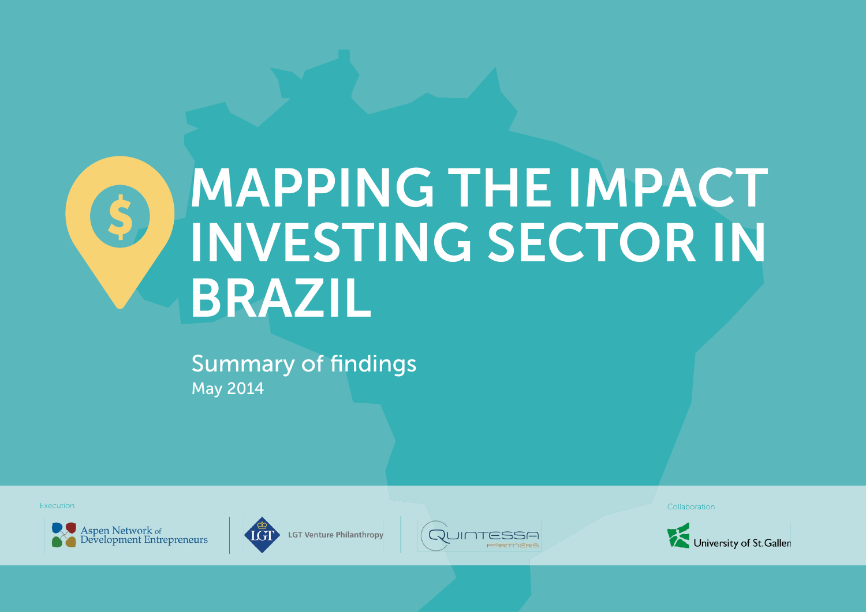# MAPPING THE IMPACT INVESTING SECToR IN bRAZIL

May 2014 **Summary of findings** 





**LGT Venture Philanthropy** 



Execution Collaboration Collaboration Collaboration Collaboration Collaboration Collaboration Collaboration Collaboration

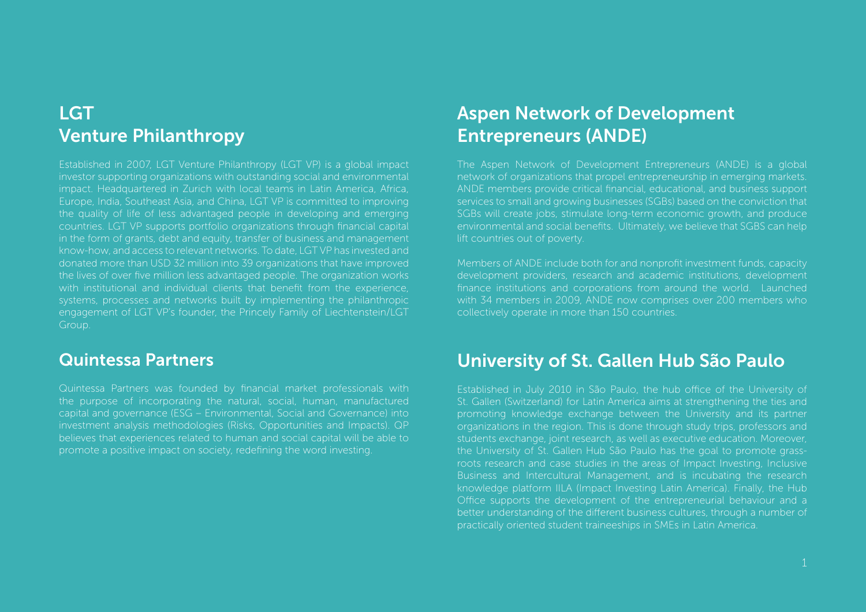### **LGT** Venture Philanthropy

Established in 2007, LGT Venture Philanthropy (LGT VP) is a global impact investor supporting organizations with outstanding social and environmental impact. Headquartered in Zurich with local teams in Latin America, Africa, Europe, India, Southeast Asia, and China, LGT VP is committed to improving the quality of life of less advantaged people in developing and emerging countries. LGT VP supports portfolio organizations through financial capital in the form of grants, debt and equity, transfer of business and management know-how, and access to relevant networks. To date, LGT VP has invested and donated more than USD 32 million into 39 organizations that have improved the lives of over five million less advantaged people. The organization works with institutional and individual clients that benefit from the experience, systems, processes and networks built by implementing the philanthropic engagement of LGT VP's founder, the Princely Family of Liechtenstein/LGT Group.

### Quintessa Partners

Quintessa Partners was founded by financial market professionals with the purpose of incorporating the natural, social, human, manufactured capital and governance (ESG – Environmental, Social and Governance) into investment analysis methodologies (Risks, Opportunities and Impacts). QP believes that experiences related to human and social capital will be able to promote a positive impact on society, redefining the word investing.

### Aspen Network of Development Entrepreneurs (ANDE)

The Aspen Network of Development Entrepreneurs (ANDE) is a global network of organizations that propel entrepreneurship in emerging markets. ANDE members provide critical financial, educational, and business support services to small and growing businesses (SGBs) based on the conviction that SGBs will create jobs, stimulate long-term economic growth, and produce environmental and social benefits. Ultimately, we believe that SGBS can help lift countries out of poverty.

Members of ANDE include both for and nonprofit investment funds, capacity development providers, research and academic institutions, development finance institutions and corporations from around the world. Launched with 34 members in 2009, ANDE now comprises over 200 members who collectively operate in more than 150 countries.

### University of St. Gallen Hub São Paulo

Established in July 2010 in São Paulo, the hub office of the University of St. Gallen (Switzerland) for Latin America aims at strengthening the ties and promoting knowledge exchange between the University and its partner organizations in the region. This is done through study trips, professors and students exchange, joint research, as well as executive education. Moreover, the University of St. Gallen Hub São Paulo has the goal to promote grassroots research and case studies in the areas of Impact Investing, Inclusive Business and Intercultural Management, and is incubating the research knowledge platform IILA (Impact Investing Latin America). Finally, the Hub Office supports the development of the entrepreneurial behaviour and a better understanding of the different business cultures, through a number of practically oriented student traineeships in SMEs in Latin America.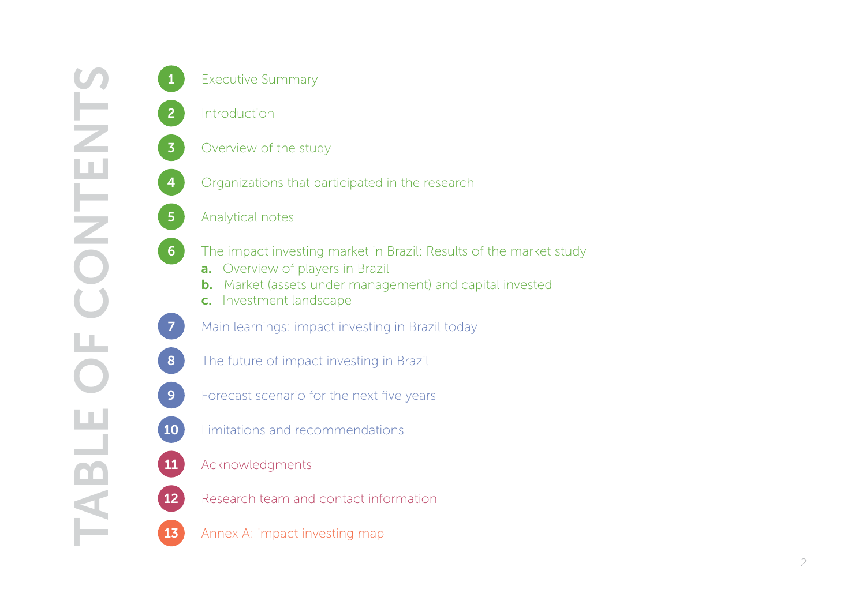**Introduction** 

- 
- 8 1 Introduction<br>
8 The future of the study<br>
8 The impact investing market in Brazil: Results of<br>
8 The impact investing market in Brazil: Results of<br>
8 The impact investing market in Brazil<br>
8 Main learnings: impact inves

- 13 Analytical notes<br>
13 Analytical notes<br>
13 Analytical notes<br>
13 D. Market (assets under management) and ca<br>
13 D. Market (assets under management) and ca<br>
13 D. Market (assets under management) and ca<br>
13 D. Market of im 6 The impact investing market in Brazil: Results of the market study
	- a. Overview of players in Brazil
	- **b.** Market (assets under management) and capital invested
	- c. Investment landscape
	-
	-
- **9** Forecast scenario for the next five years
- 10 Limitations and recommendations
- 11 Acknowledgments
- **12** Research team and contact information
	-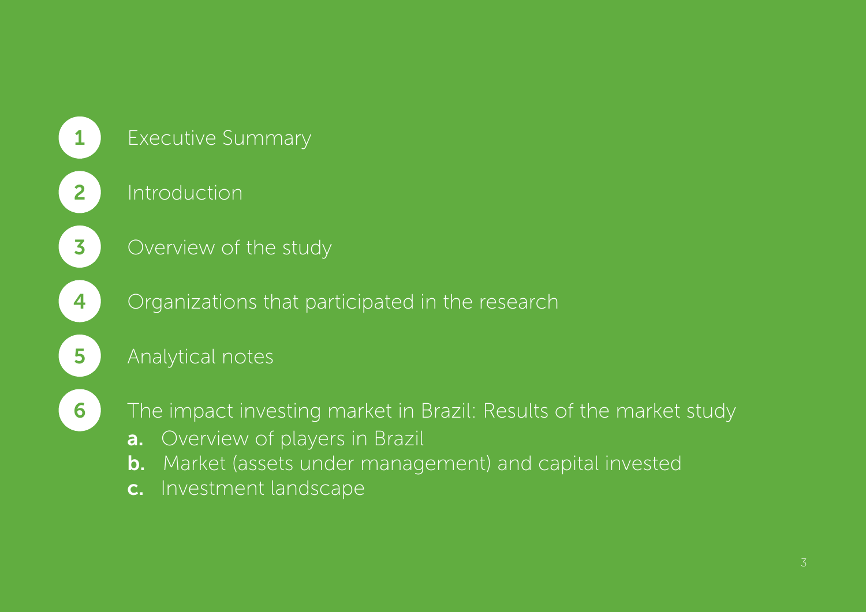

## 1 Executive Summary

2 Introduction

**3** Overview of the study

4 Organizations that participated in the research

5 Analytical notes

6 The impact investing market in Brazil: Results of the market study

- **a.** Overview of players in Brazil
- b. Market (assets under management) and capital invested
- c. Investment landscape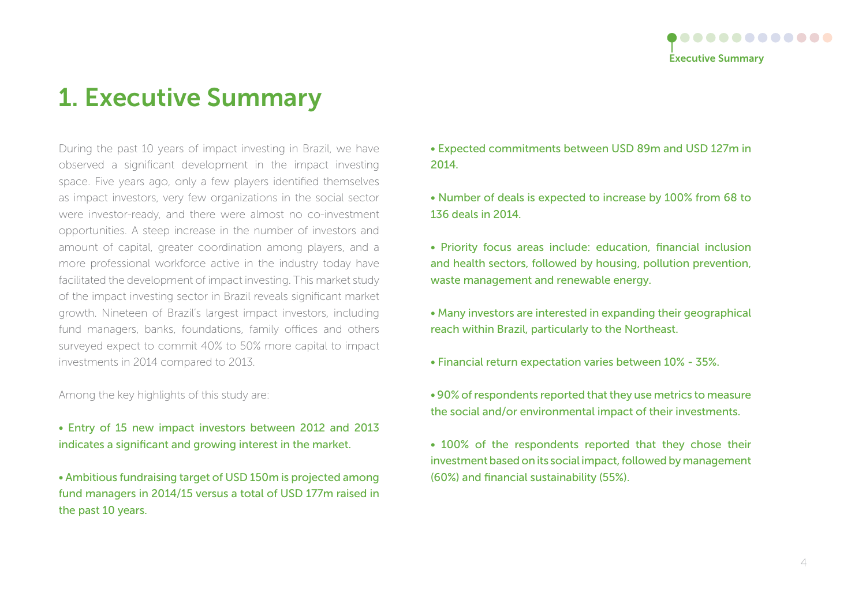

## 1. Executive Summary

During the past 10 years of impact investing in Brazil, we have observed a significant development in the impact investing space. Five years ago, only a few players identified themselves as impact investors, very few organizations in the social sector were investor-ready, and there were almost no co-investment opportunities. A steep increase in the number of investors and amount of capital, greater coordination among players, and a more professional workforce active in the industry today have facilitated the development of impact investing. This market study of the impact investing sector in Brazil reveals significant market growth. Nineteen of Brazil's largest impact investors, including fund managers, banks, foundations, family offices and others surveyed expect to commit 40% to 50% more capital to impact investments in 2014 compared to 2013.

Among the key highlights of this study are:

• Entry of 15 new impact investors between 2012 and 2013 indicates a significant and growing interest in the market.

• Ambitious fundraising target of USD 150m is projected among fund managers in 2014/15 versus a total of USD 177m raised in the past 10 years.

• Expected commitments between USD 89m and USD 127m in 2014.

• Number of deals is expected to increase by 100% from 68 to 136 deals in 2014.

• Priority focus areas include: education, financial inclusion and health sectors, followed by housing, pollution prevention, waste management and renewable energy.

• Many investors are interested in expanding their geographical reach within Brazil, particularly to the Northeast.

- Financial return expectation varies between 10% 35%.
- 90% of respondents reported that they use metrics to measure the social and/or environmental impact of their investments.
- 100% of the respondents reported that they chose their investment based on its social impact, followed by management (60%) and financial sustainability (55%).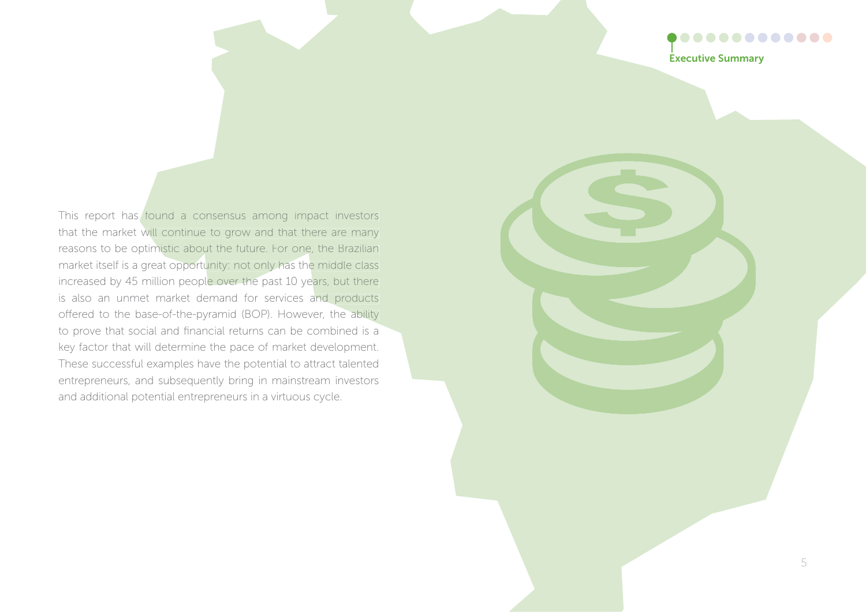### $0.0000000000000$ Executive Summary

This report has found a consensus among impact investors that the market will continue to grow and that there are many reasons to be optimistic about the future. For one, the Brazilian market itself is a great opportunity: not only has the middle class increased by 45 million people over the past 10 years, but there is also an unmet market demand for services and products offered to the base-of-the-pyramid (BOP). However, the ability to prove that social and financial returns can be combined is a key factor that will determine the pace of market development. These successful examples have the potential to attract talented entrepreneurs, and subsequently bring in mainstream investors and additional potential entrepreneurs in a virtuous cycle.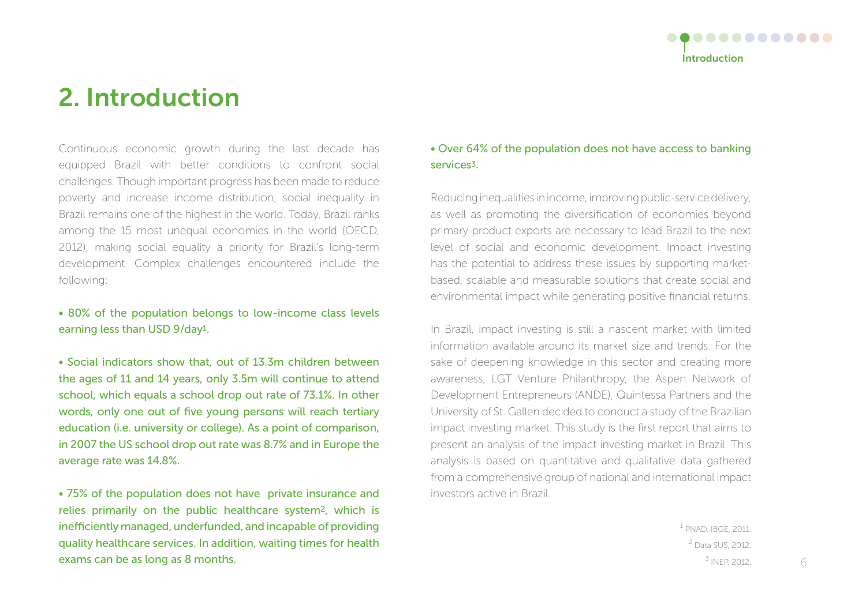

## 2. Introduction

Continuous economic growth during the last decade has equipped Brazil with better conditions to confront social challenges. Though important progress has been made to reduce poverty and increase income distribution, social inequality in Brazil remains one of the highest in the world. Today, Brazil ranks among the 15 most unequal economies in the world (OECD, 2012), making social equality a priority for Brazil's long-term development. Complex challenges encountered include the following:

#### • 80% of the population belongs to low-income class levels earning less than USD 9/day1.

• Social indicators show that, out of 13.3m children between the ages of 11 and 14 years, only 3.5m will continue to attend school, which equals a school drop out rate of 73.1%. In other words, only one out of five young persons will reach tertiary education (i.e. university or college). As a point of comparison, in 2007 the US school drop out rate was 8.7% and in Europe the average rate was 14.8%.

• 75% of the population does not have private insurance and relies primarily on the public healthcare system2, which is inefficiently managed, underfunded, and incapable of providing quality healthcare services. In addition, waiting times for health exams can be as long as 8 months.

#### • Over 64% of the population does not have access to banking services3.

Reducing inequalities in income, improving public-service delivery, as well as promoting the diversification of economies beyond primary-product exports are necessary to lead Brazil to the next level of social and economic development. Impact investing has the potential to address these issues by supporting marketbased, scalable and measurable solutions that create social and environmental impact while generating positive financial returns.

In Brazil, impact investing is still a nascent market with limited information available around its market size and trends. For the sake of deepening knowledge in this sector and creating more awareness, LGT Venture Philanthropy, the Aspen Network of Development Entrepreneurs (ANDE), Quintessa Partners and the University of St. Gallen decided to conduct a study of the Brazilian impact investing market. This study is the first report that aims to present an analysis of the impact investing market in Brazil. This analysis is based on quantitative and qualitative data gathered from a comprehensive group of national and international impact investors active in Brazil.

> 1 PNAD, IBGE, 2011. 2 Data SUS, 2012.  $3$  INEP, 2012. 6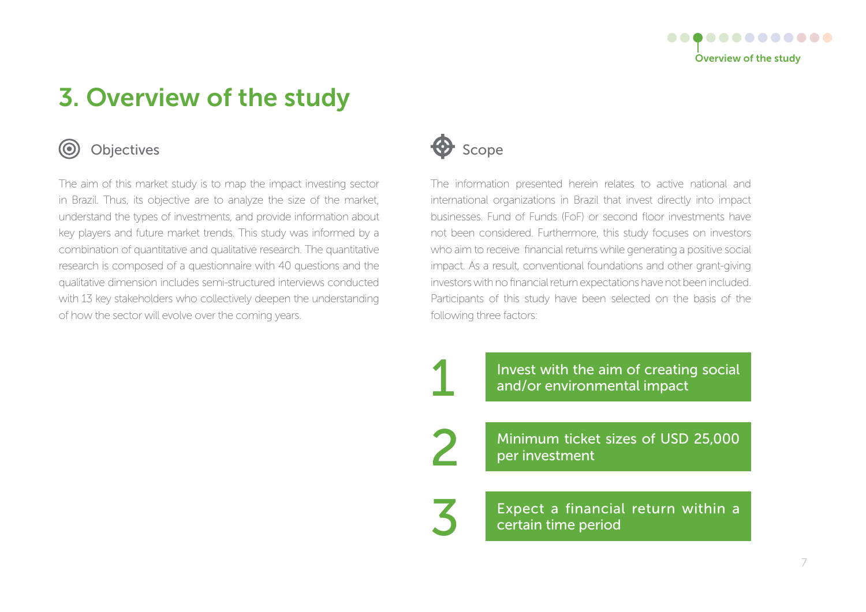

## 3. Overview of the study



### Objectives

The aim of this market study is to map the impact investing sector in Brazil. Thus, its objective are to analyze the size of the market, understand the types of investments, and provide information about key players and future market trends. This study was informed by a combination of quantitative and qualitative research. The quantitative research is composed of a questionnaire with 40 questions and the qualitative dimension includes semi-structured interviews conducted with 13 key stakeholders who collectively deepen the understanding of how the sector will evolve over the coming years.



1

2

3

The information presented herein relates to active national and international organizations in Brazil that invest directly into impact businesses. Fund of Funds (FoF) or second floor investments have not been considered. Furthermore, this study focuses on investors who aim to receive financial returns while generating a positive social impact. As a result, conventional foundations and other grant-giving investors with no financial return expectations have not been included. Participants of this study have been selected on the basis of the following three factors:

> Invest with the aim of creating social and/or environmental impact

> Minimum ticket sizes of USD 25,000 per investment

Expect a financial return within a certain time period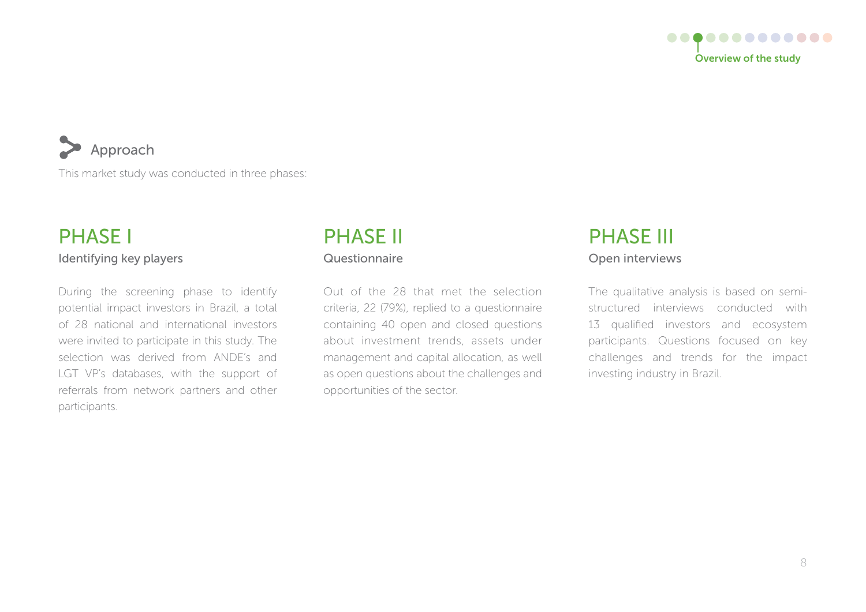

### Approach

This market study was conducted in three phases:

### Identifying key players PHASE I

During the screening phase to identify potential impact investors in Brazil, a total of 28 national and international investors were invited to participate in this study. The selection was derived from ANDE's and LGT VP's databases, with the support of referrals from network partners and other participants.

### Questionnaire PHASE II

Out of the 28 that met the selection criteria, 22 (79%), replied to a questionnaire containing 40 open and closed questions about investment trends, assets under management and capital allocation, as well as open questions about the challenges and opportunities of the sector.

### Open interviews PHASE III

The qualitative analysis is based on semistructured interviews conducted with 13 qualified investors and ecosystem participants. Questions focused on key challenges and trends for the impact investing industry in Brazil.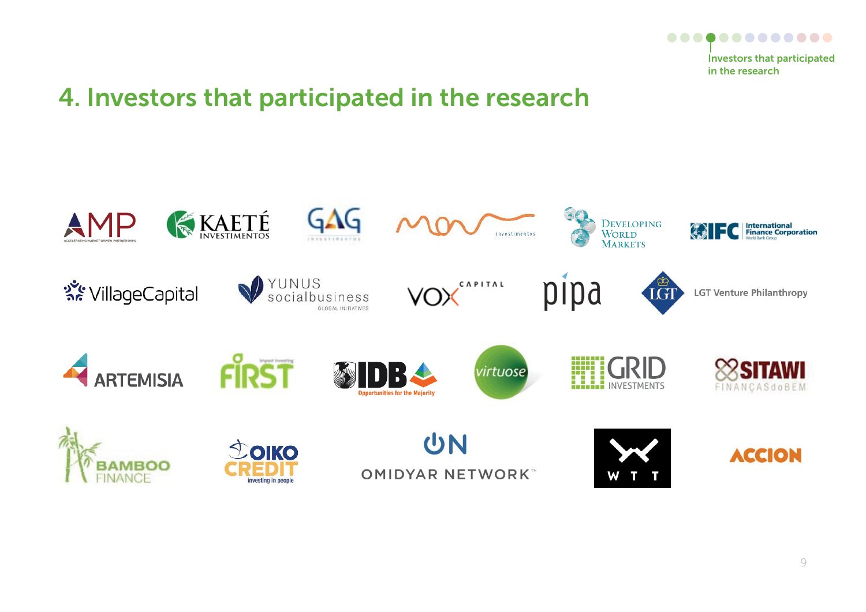

## 4. Investors that participated in the research

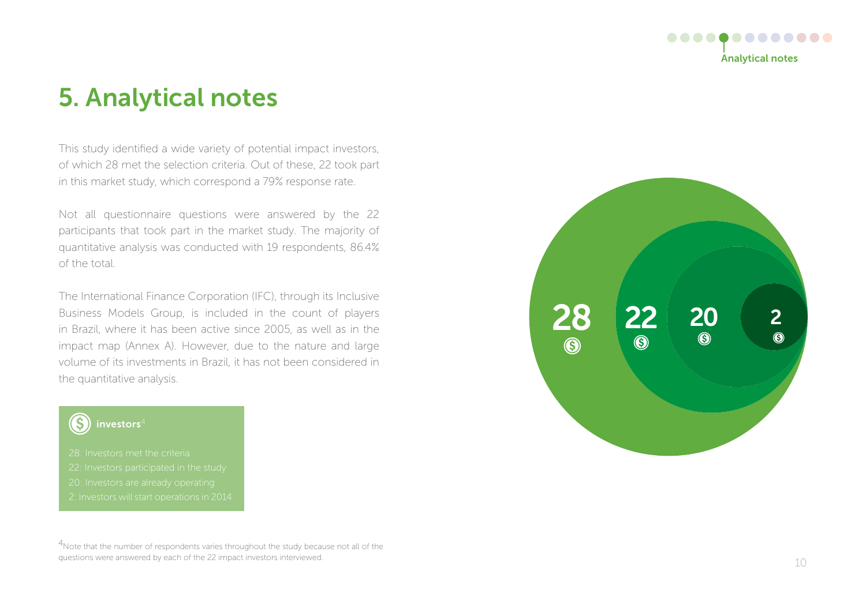

## 5. Analytical notes

This study identified a wide variety of potential impact investors, of which 28 met the selection criteria. Out of these, 22 took part in this market study, which correspond a 79% response rate.

Not all questionnaire questions were answered by the 22 participants that took part in the market study. The majority of quantitative analysis was conducted with 19 respondents, 86.4% of the total.

The International Finance Corporation (IFC), through its Inclusive Business Models Group, is included in the count of players in Brazil, where it has been active since 2005, as well as in the impact map (Annex A). However, due to the nature and large volume of its investments in Brazil, it has not been considered in the quantitative analysis.

### investors $4$



<sup>4</sup>Note that the number of respondents varies throughout the study because not all of the questions were answered by each of the 22 impact investors interviewed.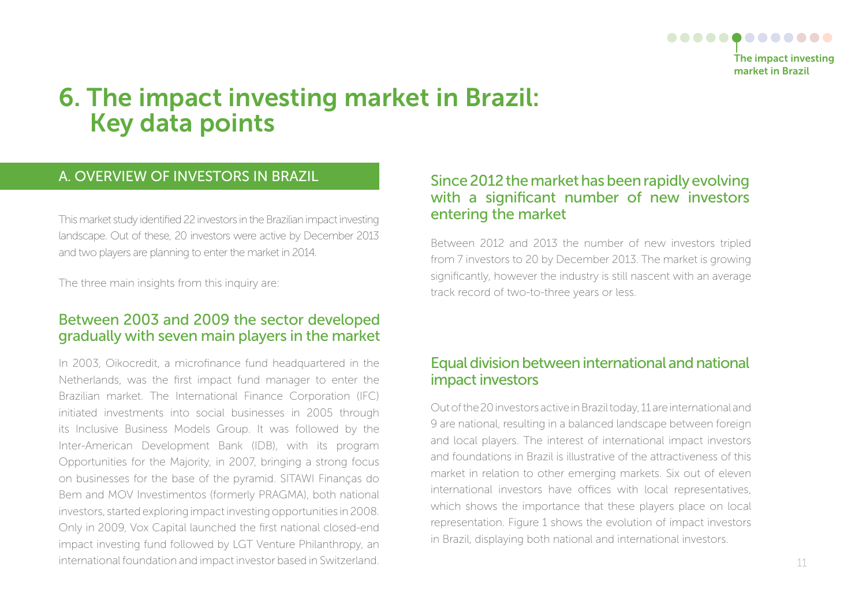

## 6. The impact investing market in brazil: Key data points

#### A. OVERVIEW OF INVESTORS IN BRAZIL

This market study identified 22 investors in the Brazilian impact investing landscape. Out of these, 20 investors were active by December 2013 and two players are planning to enter the market in 2014.

The three main insights from this inquiry are:

### Between 2003 and 2009 the sector developed gradually with seven main players in the market

In 2003, Oikocredit, a microfinance fund headquartered in the Netherlands, was the first impact fund manager to enter the Brazilian market. The International Finance Corporation (IFC) initiated investments into social businesses in 2005 through its Inclusive Business Models Group. It was followed by the Inter-American Development Bank (IDB), with its program Opportunities for the Majority, in 2007, bringing a strong focus on businesses for the base of the pyramid. SITAWI Finanças do Bem and MOV Investimentos (formerly PRAGMA), both national investors, started exploring impact investing opportunities in 2008. Only in 2009, Vox Capital launched the first national closed-end impact investing fund followed by LGT Venture Philanthropy, an international foundation and impact investor based in Switzerland.

#### Since 2012 the market has been rapidly evolving with a significant number of new investors entering the market

Between 2012 and 2013 the number of new investors tripled from 7 investors to 20 by December 2013. The market is growing significantly, however the industry is still nascent with an average track record of two-to-three years or less.

### Equal division between international and national impact investors

Out of the 20 investors active in Brazil today, 11 are international and 9 are national, resulting in a balanced landscape between foreign and local players. The interest of international impact investors and foundations in Brazil is illustrative of the attractiveness of this market in relation to other emerging markets. Six out of eleven international investors have offices with local representatives, which shows the importance that these players place on local representation. Figure 1 shows the evolution of impact investors in Brazil, displaying both national and international investors.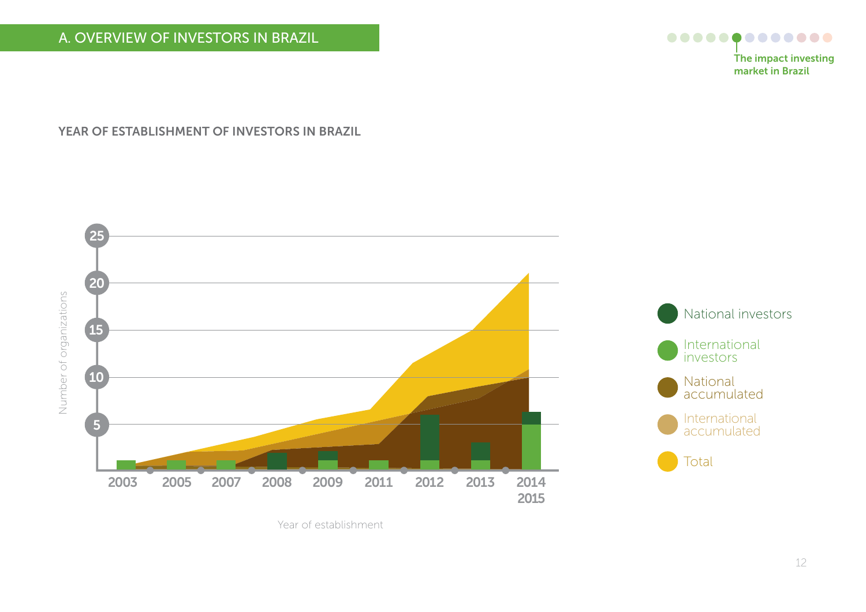### A. OVERVIEW OF INVESTORS IN BRAZIL



The impact investing market in brazil

YEAR OF ESTABLISHMENT OF INVESTORS IN BRAZIL



Year of establishment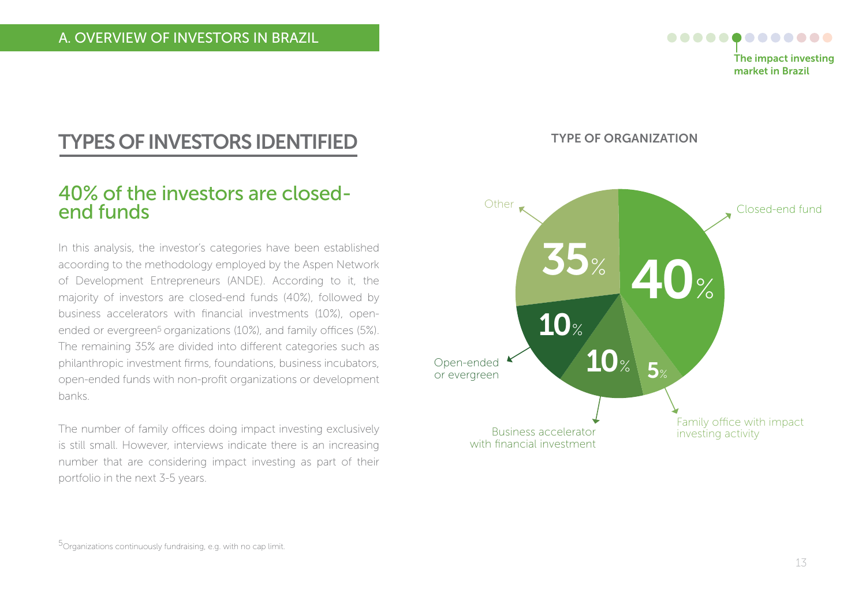

### TYPES of INVESToRS IDENTIfIED

### 40% of the investors are closedend funds

In this analysis, the investor's categories have been established acoording to the methodology employed by the Aspen Network of Development Entrepreneurs (ANDE). According to it, the majority of investors are closed-end funds (40%), followed by business accelerators with financial investments (10%), openended or evergreen<sup>5</sup> organizations (10%), and family offices (5%). The remaining 35% are divided into different categories such as philanthropic investment firms, foundations, business incubators, open-ended funds with non-profit organizations or development banks.

The number of family offices doing impact investing exclusively is still small. However, interviews indicate there is an increasing number that are considering impact investing as part of their portfolio in the next 3-5 years.

TYPE of oRGANIZATIoN

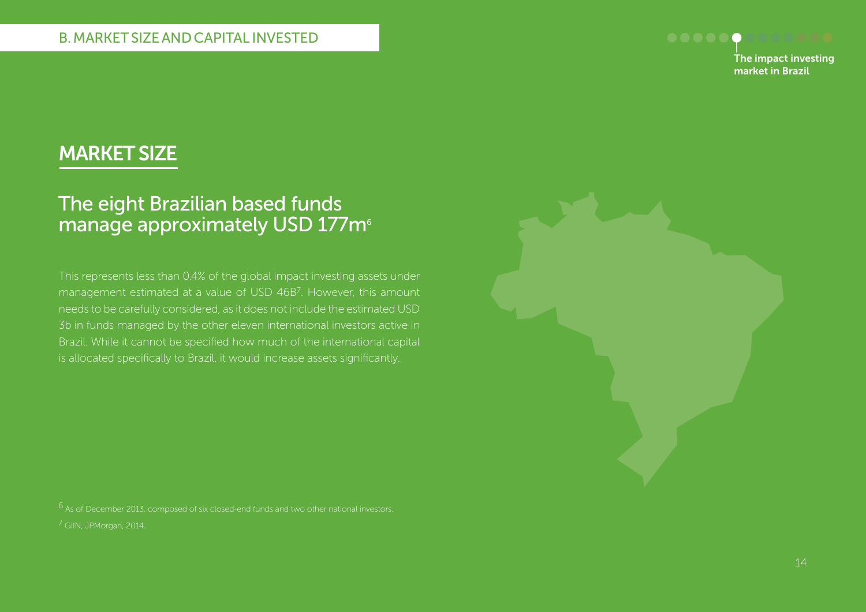

### MARKET SIZE

### The eight Brazilian based funds manage approximately USD 177m<sup>6</sup>

This represents less than 0.4% of the global impact investing assets under management estimated at a value of USD 46B7. However, this amount needs to be carefully considered, as it does not include the estimated USD 3b in funds managed by the other eleven international investors active in Brazil. While it cannot be specified how much of the international capital is allocated specifically to Brazil, it would increase assets significantly.

7 GIIN, JPMorgan, 2014.  $6$  As of December 2013, composed of six closed-end funds and two other national investors.

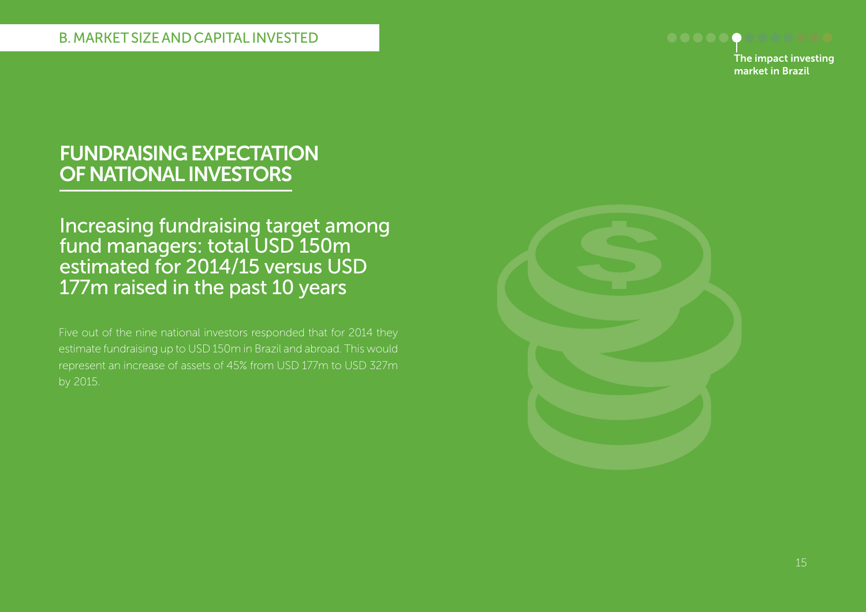

### fUNDRAISING EXPECTATIoN of NATIoNAL INVESToRS

Increasing fundraising target among fund managers: total USD 150m estimated for 2014/15 versus USD 177m raised in the past 10 years

Five out of the nine national investors responded that for 2014 they estimate fundraising up to USD 150m in Brazil and abroad. This would represent an increase of assets of 45% from USD 177m to USD 327m by 2015.

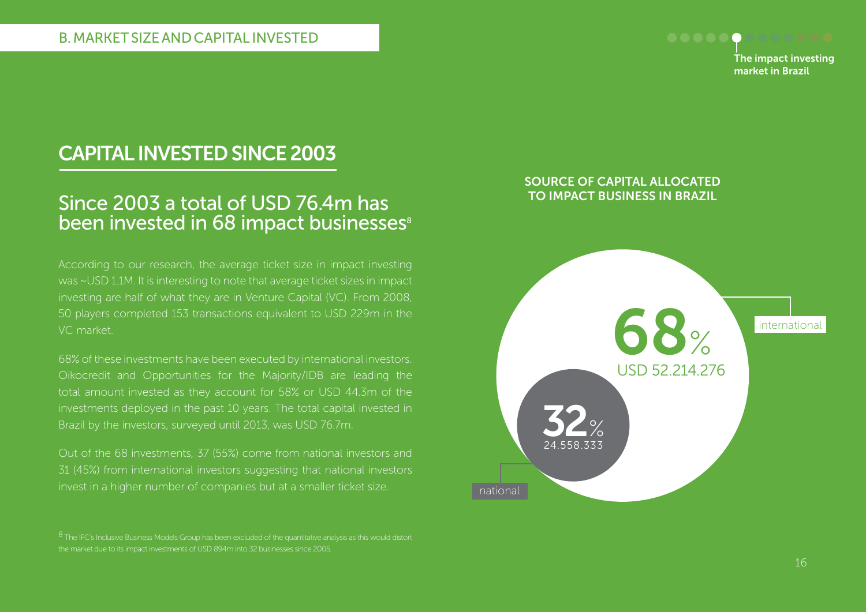

## CAPITAL INVESTED SINCE 2003

### Since 2003 a total of USD 76.4m has been invested in 68 impact businesses<sup>8</sup>

According to our research, the average ticket size in impact investing was ~USD 1.1M. It is interesting to note that average ticket sizes in impact investing are half of what they are in Venture Capital (VC). From 2008, 50 players completed 153 transactions equivalent to USD 229m in the VC market.

68% of these investments have been executed by international investors. Oikocredit and Opportunities for the Majority/IDB are leading the total amount invested as they account for 58% or USD 44.3m of the investments deployed in the past 10 years. The total capital invested in Brazil by the investors, surveyed until 2013, was USD 76.7m.

Out of the 68 investments, 37 (55%) come from national investors and 31 (45%) from international investors suggesting that national investors invest in a higher number of companies but at a smaller ticket size.

 $8$  The IFC's Inclusive Business Models Group has been excluded of the quantitative analysis as this would distort the market due to its impact investments of USD 894m into 32 businesses since 2005.

#### SoURCE of CAPITAL ALLoCATED To IMPACT bUSINESS IN bRAZIL

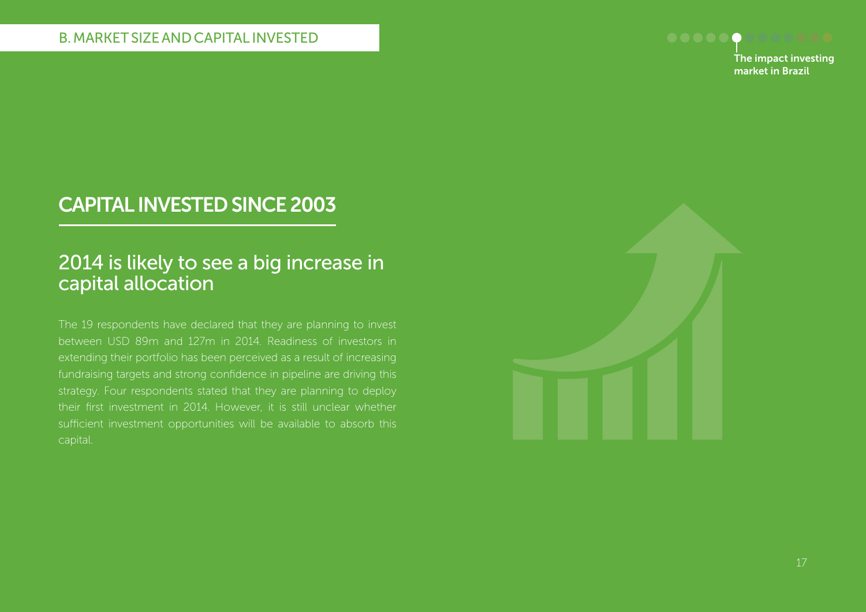

## CAPITAL INVESTED SINCE 2003

### 2014 is likely to see a big increase in capital allocation

The 19 respondents have declared that they are planning to invest between USD 89m and 127m in 2014. Readiness of investors in extending their portfolio has been perceived as a result of increasing fundraising targets and strong confidence in pipeline are driving this strategy. Four respondents stated that they are planning to deploy their first investment in 2014. However, it is still unclear whether sufficient investment opportunities will be available to absorb this capital.

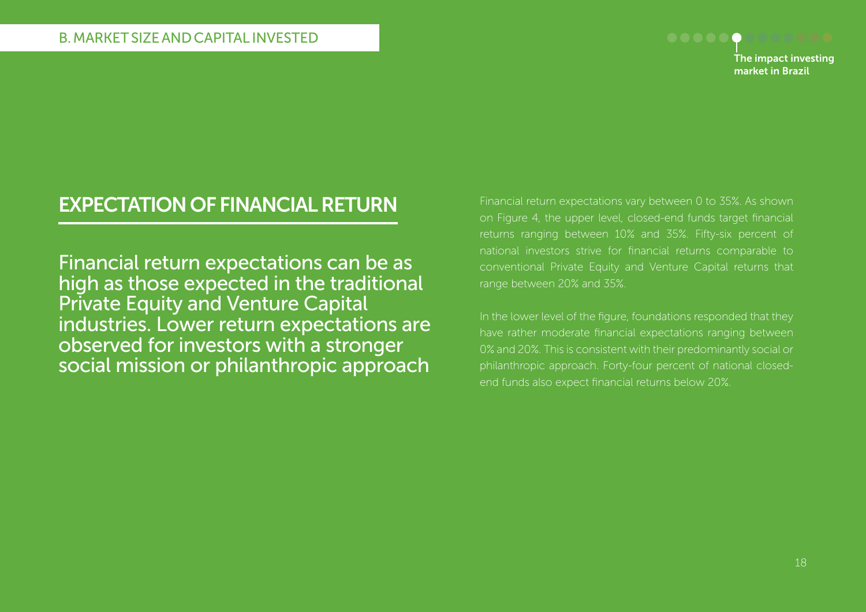

### EXPECTATIoN of fINANCIAL RETURN

Financial return expectations can be as high as those expected in the traditional Private Equity and Venture Capital industries. Lower return expectations are observed for investors with a stronger social mission or philanthropic approach

Financial return expectations vary between 0 to 35%. As shown on Figure 4, the upper level, closed-end funds target financial returns ranging between 10% and 35%. Fifty-six percent of national investors strive for financial returns comparable to conventional Private Equity and Venture Capital returns that range between 20% and 35%.

In the lower level of the figure, foundations responded that they have rather moderate financial expectations ranging between 0% and 20%. This is consistent with their predominantly social or philanthropic approach. Forty-four percent of national closedend funds also expect financial returns below 20%.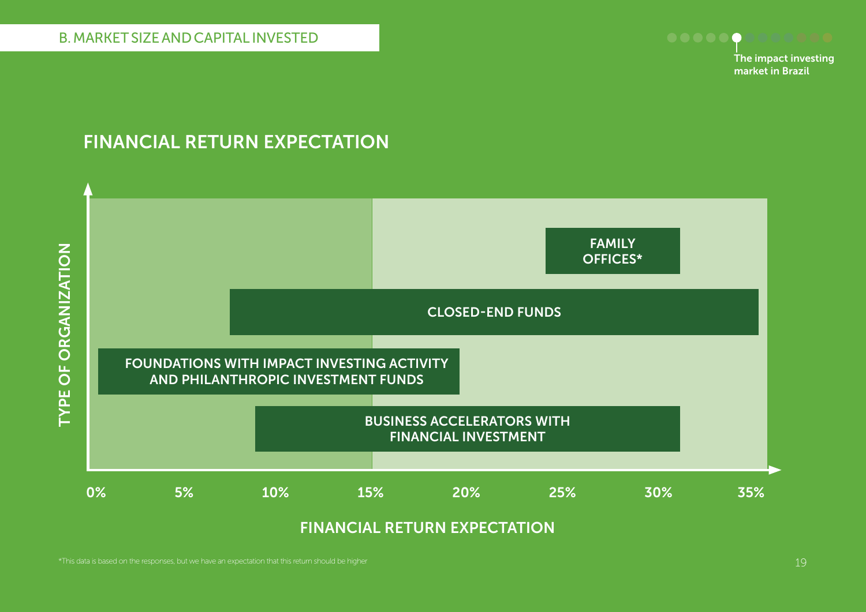

### fINANCIAL RETURN EXPECTATIoN

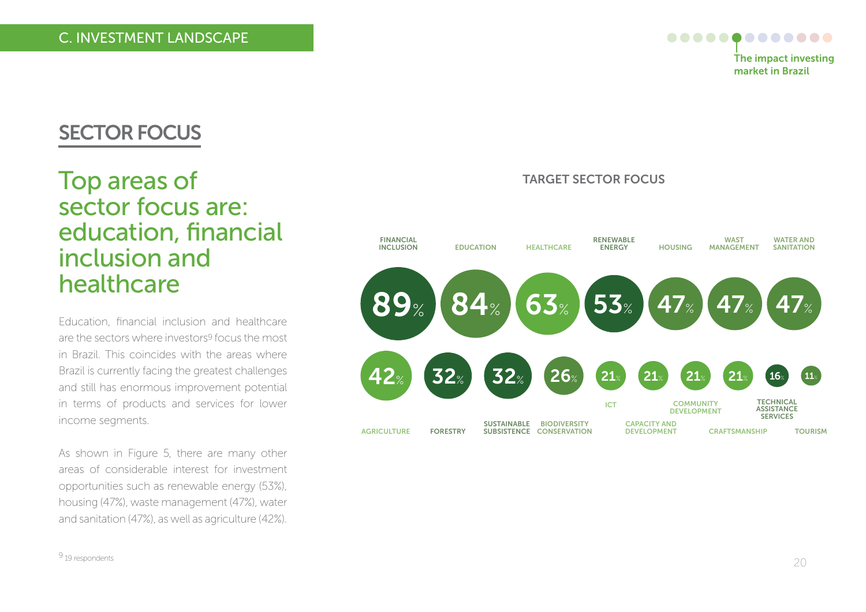

### SECToR foCUS

## Top areas of sector focus are: education, financial inclusion and healthcare

Education, financial inclusion and healthcare are the sectors where investors9 focus the most in Brazil. This coincides with the areas where Brazil is currently facing the greatest challenges and still has enormous improvement potential in terms of products and services for lower income segments.

As shown in Figure 5, there are many other areas of considerable interest for investment opportunities such as renewable energy (53%), housing (47%), waste management (47%), water and sanitation (47%), as well as agriculture (42%).

### TARGET SECToR foCUS

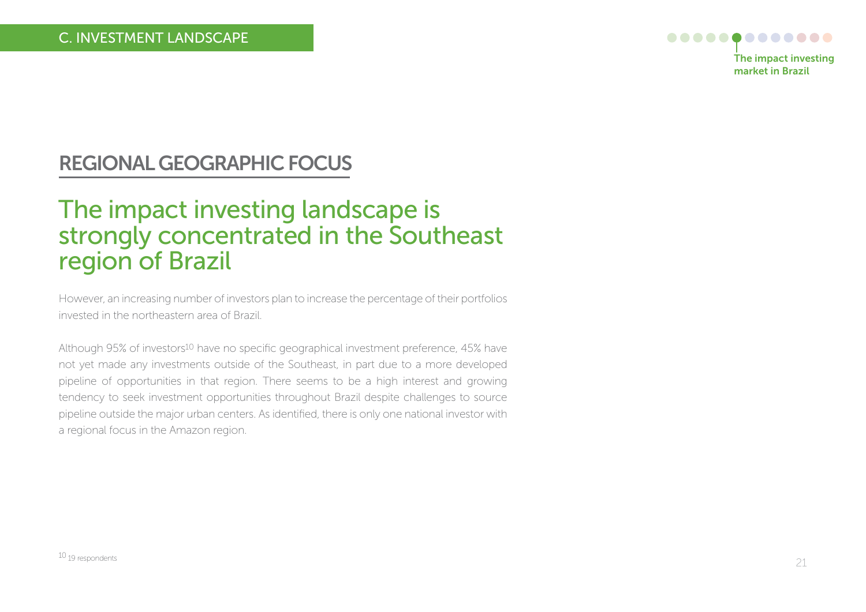

## REGIoNAL GEoGRAPHIC foCUS

## The impact investing landscape is strongly concentrated in the Southeast region of Brazil

However, an increasing number of investors plan to increase the percentage of their portfolios invested in the northeastern area of Brazil.

Although 95% of investors<sup>10</sup> have no specific geographical investment preference, 45% have not yet made any investments outside of the Southeast, in part due to a more developed pipeline of opportunities in that region. There seems to be a high interest and growing tendency to seek investment opportunities throughout Brazil despite challenges to source pipeline outside the major urban centers. As identified, there is only one national investor with a regional focus in the Amazon region.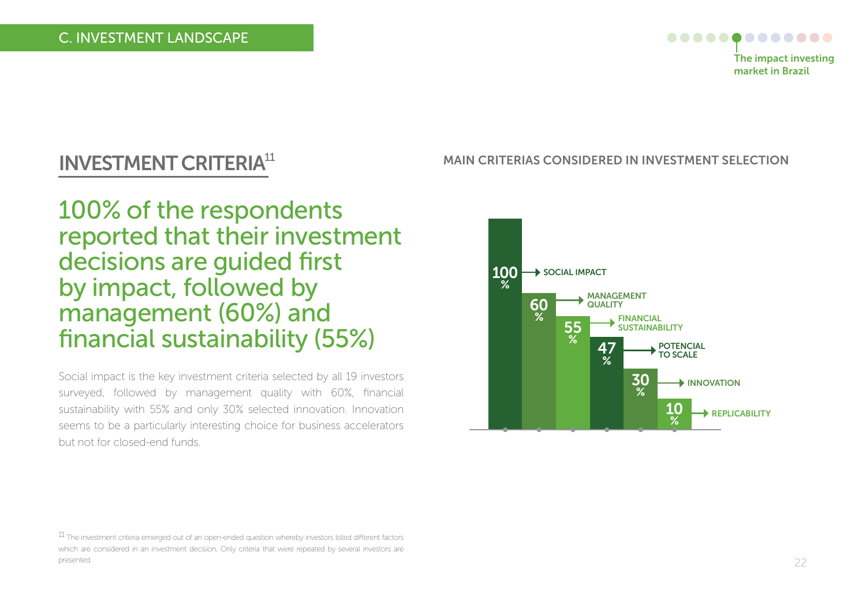

## INVESTMENT CRITERIA<sup>11</sup>

100% of the respondents reported that their investment decisions are guided first by impact, followed by management (60%) and financial sustainability (55%)

Social impact is the key investment criteria selected by all 19 investors surveyed, followed by management quality with 60%, financial sustainability with 55% and only 30% selected innovation. Innovation seems to be a particularly interesting choice for business accelerators but not for closed-end funds.

#### MAIN CRITERIAS CoNSIDERED IN INVESTMENT SELECTIoN



<sup>11</sup> The investment criteria emerged out of an open-ended question whereby investors listed different factors which are considered in an investment decision. Only criteria that were repeated by several investors are presented.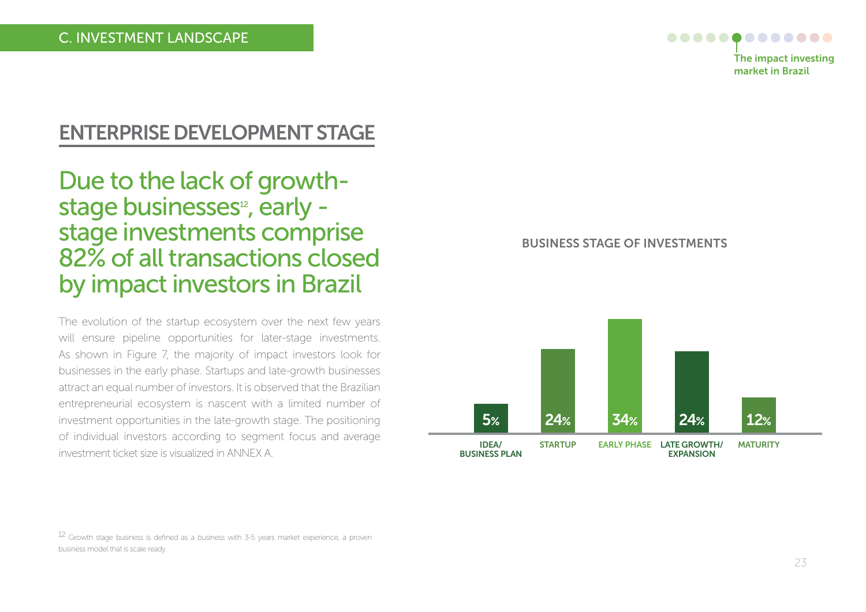

### ENTERPRISE DEVELoPMENT STAGE

Due to the lack of growthstage businesses<sup>12</sup>, early stage investments comprise 82% of all transactions closed by impact investors in Brazil

The evolution of the startup ecosystem over the next few years will ensure pipeline opportunities for later-stage investments. As shown in Figure 7, the majority of impact investors look for businesses in the early phase. Startups and late-growth businesses attract an equal number of investors. It is observed that the Brazilian entrepreneurial ecosystem is nascent with a limited number of investment opportunities in the late-growth stage. The positioning of individual investors according to segment focus and average investment ticket size is visualized in ANNEX A.

bUSINESS STAGE of INVESTMENTS



 $12$  Growth stage business is defined as a business with 3-5 years market experience, a proven business model that is scale ready.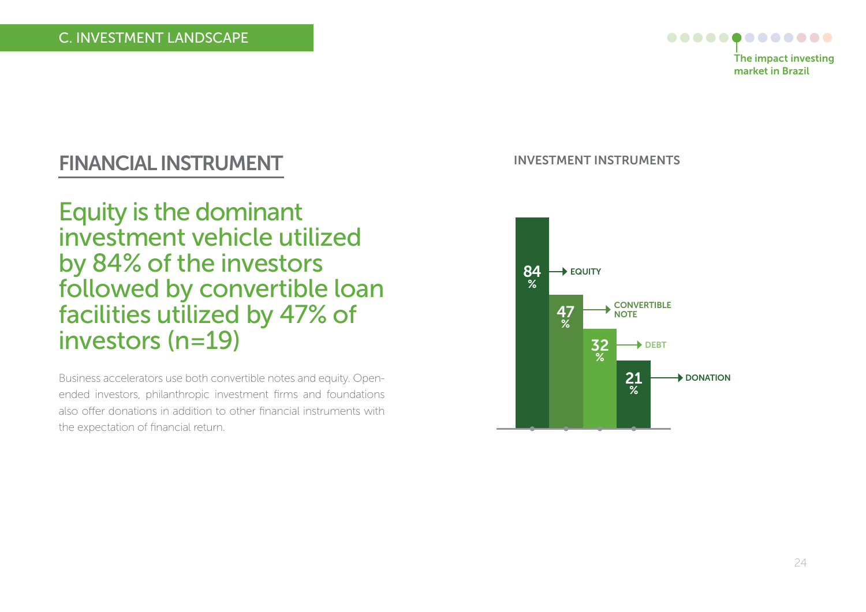

## fINANCIAL INSTRUMENT

Equity is the dominant investment vehicle utilized by 84% of the investors followed by convertible loan facilities utilized by 47% of investors (n=19)

Business accelerators use both convertible notes and equity. Openended investors, philanthropic investment firms and foundations also offer donations in addition to other financial instruments with the expectation of financial return.

#### INVESTMENT INSTRUMENTS

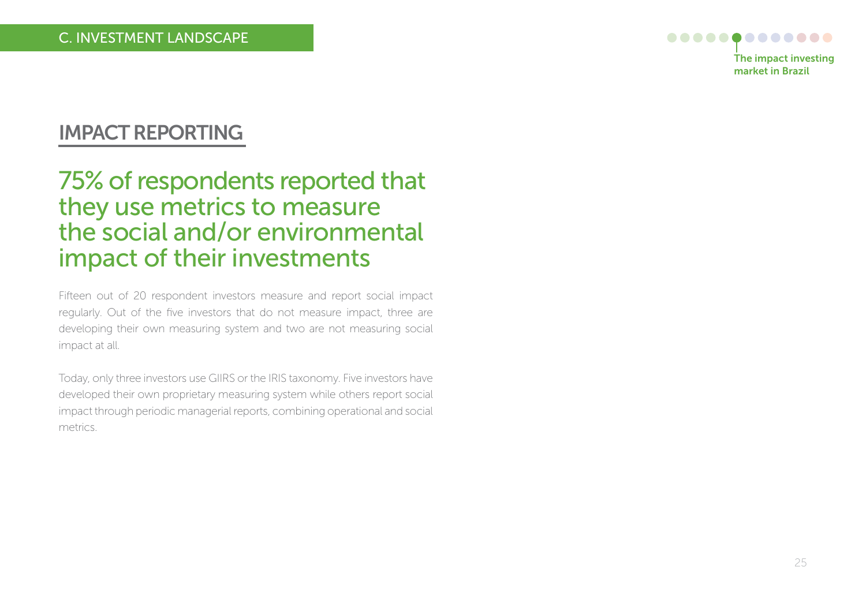

## IMPACT REPoRTING

## 75% of respondents reported that they use metrics to measure the social and/or environmental impact of their investments

Fifteen out of 20 respondent investors measure and report social impact regularly. Out of the five investors that do not measure impact, three are developing their own measuring system and two are not measuring social impact at all.

Today, only three investors use GIIRS or the IRIS taxonomy. Five investors have developed their own proprietary measuring system while others report social impact through periodic managerial reports, combining operational and social metrics.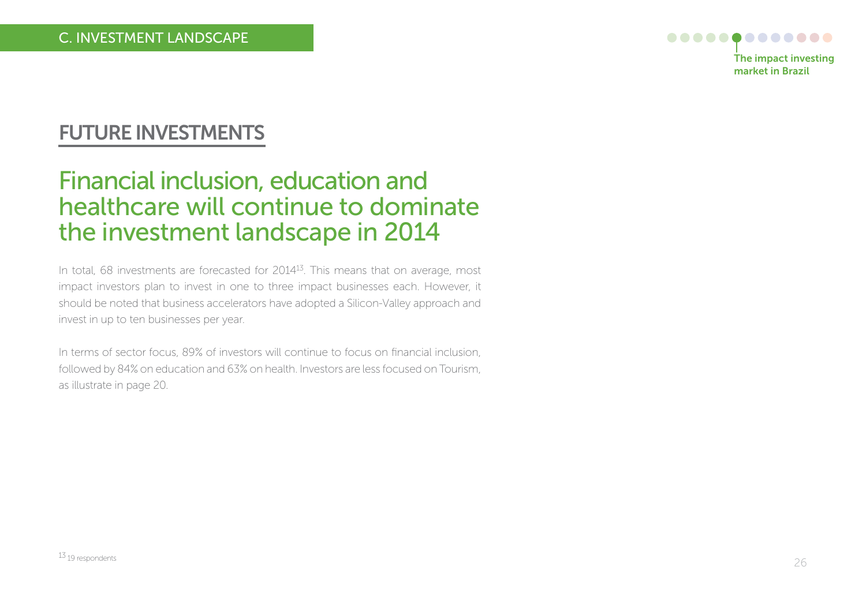

## fUTURE INVESTMENTS

## Financial inclusion, education and healthcare will continue to dominate the investment landscape in 2014

In total, 68 investments are forecasted for 2014<sup>13</sup>. This means that on average, most impact investors plan to invest in one to three impact businesses each. However, it should be noted that business accelerators have adopted a Silicon-Valley approach and invest in up to ten businesses per year.

In terms of sector focus, 89% of investors will continue to focus on financial inclusion, followed by 84% on education and 63% on health. Investors are less focused on Tourism, as illustrate in page 20.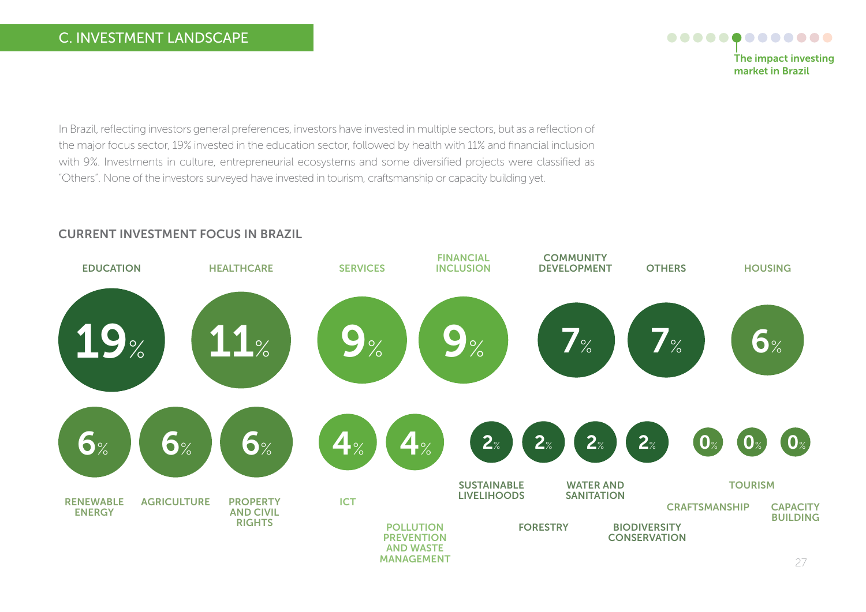### C. INVESTMENT LANDSCAPE

#### ............. The impact investing market in brazil

In Brazil, reflecting investors general preferences, investors have invested in multiple sectors, but as a reflection of the major focus sector, 19% invested in the education sector, followed by health with 11% and financial inclusion with 9%. Investments in culture, entrepreneurial ecosystems and some diversified projects were classified as "Others". None of the investors surveyed have invested in tourism, craftsmanship or capacity building yet.



#### CURRENT INVESTMENT foCUS IN bRAZIL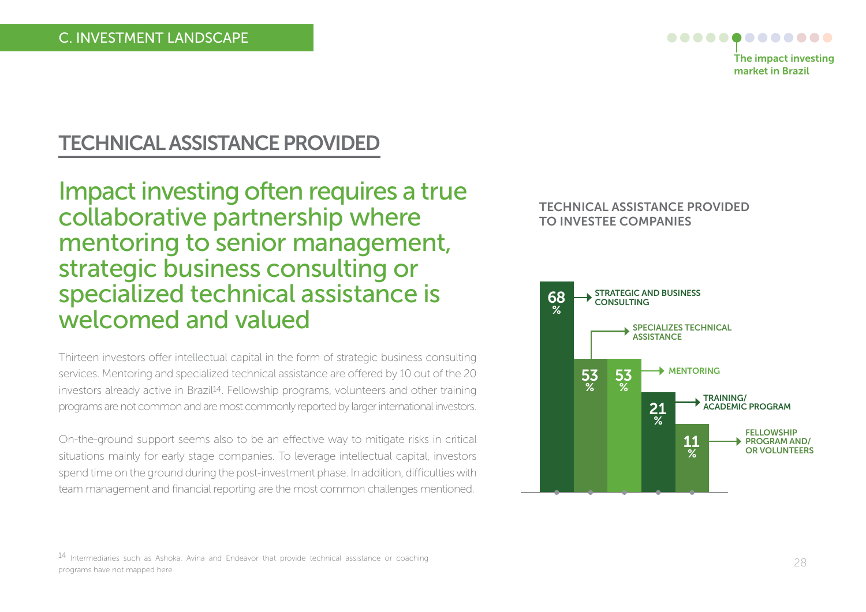

## TECHNICAL ASSISTANCE PRoVIDED

Impact investing often requires a true collaborative partnership where mentoring to senior management, strategic business consulting or specialized technical assistance is welcomed and valued

Thirteen investors offer intellectual capital in the form of strategic business consulting services. Mentoring and specialized technical assistance are offered by 10 out of the 20 investors already active in Brazil<sup>14</sup>. Fellowship programs, volunteers and other training programs are not common and are most commonly reported by larger international investors.

On-the-ground support seems also to be an effective way to mitigate risks in critical situations mainly for early stage companies. To leverage intellectual capital, investors spend time on the ground during the post-investment phase. In addition, difficulties with team management and financial reporting are the most common challenges mentioned.

#### TECHNICAL ASSISTANCE PRoVIDED To INVESTEE CoMPANIES



14 Intermediaries such as Ashoka, Avina and Endeavor that provide technical assistance or coaching programs have not mapped here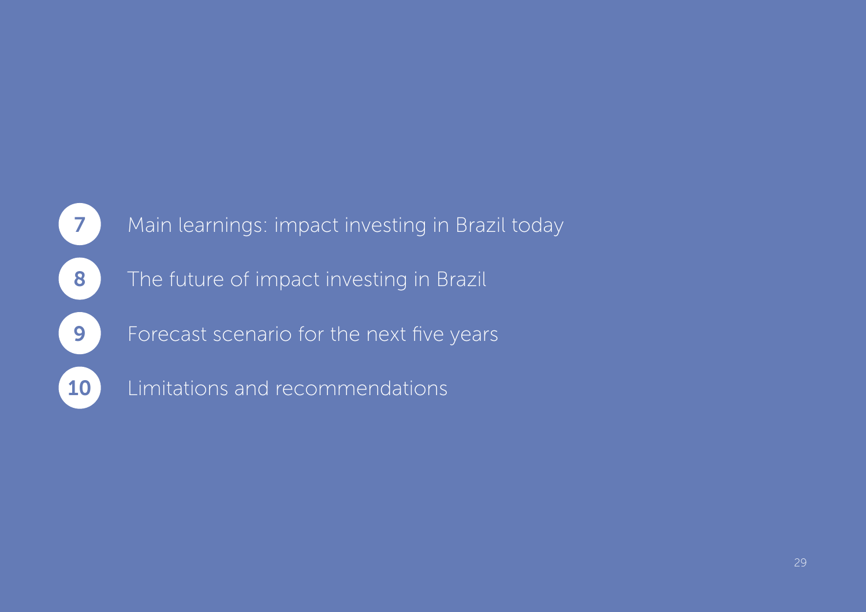# 8 The future of impact investing in Brazil 7 Main learnings: impact investing in Brazil today **9** Forecast scenario for the next five years 10 Limitations and recommendations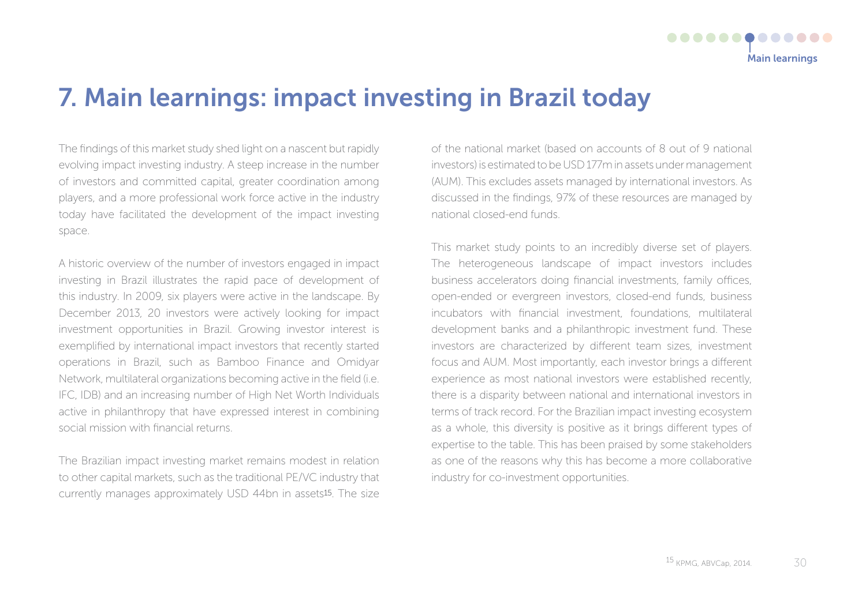## 7. Main learnings: impact investing in brazil today

The findings of this market study shed light on a nascent but rapidly evolving impact investing industry. A steep increase in the number of investors and committed capital, greater coordination among players, and a more professional work force active in the industry today have facilitated the development of the impact investing space.

A historic overview of the number of investors engaged in impact investing in Brazil illustrates the rapid pace of development of this industry. In 2009, six players were active in the landscape. By December 2013, 20 investors were actively looking for impact investment opportunities in Brazil. Growing investor interest is exemplified by international impact investors that recently started operations in Brazil, such as Bamboo Finance and Omidyar Network, multilateral organizations becoming active in the field (i.e. IFC, IDB) and an increasing number of High Net Worth Individuals active in philanthropy that have expressed interest in combining social mission with financial returns.

The Brazilian impact investing market remains modest in relation to other capital markets, such as the traditional PE/VC industry that currently manages approximately USD 44bn in assets15. The size of the national market (based on accounts of 8 out of 9 national investors) is estimated to be USD 177m in assets under management (AUM). This excludes assets managed by international investors. As discussed in the findings, 97% of these resources are managed by national closed-end funds.

This market study points to an incredibly diverse set of players. The heterogeneous landscape of impact investors includes business accelerators doing financial investments, family offices, open-ended or evergreen investors, closed-end funds, business incubators with financial investment, foundations, multilateral development banks and a philanthropic investment fund. These investors are characterized by different team sizes, investment focus and AUM. Most importantly, each investor brings a different experience as most national investors were established recently, there is a disparity between national and international investors in terms of track record. For the Brazilian impact investing ecosystem as a whole, this diversity is positive as it brings different types of expertise to the table. This has been praised by some stakeholders as one of the reasons why this has become a more collaborative industry for co-investment opportunities.

Main learnings

.............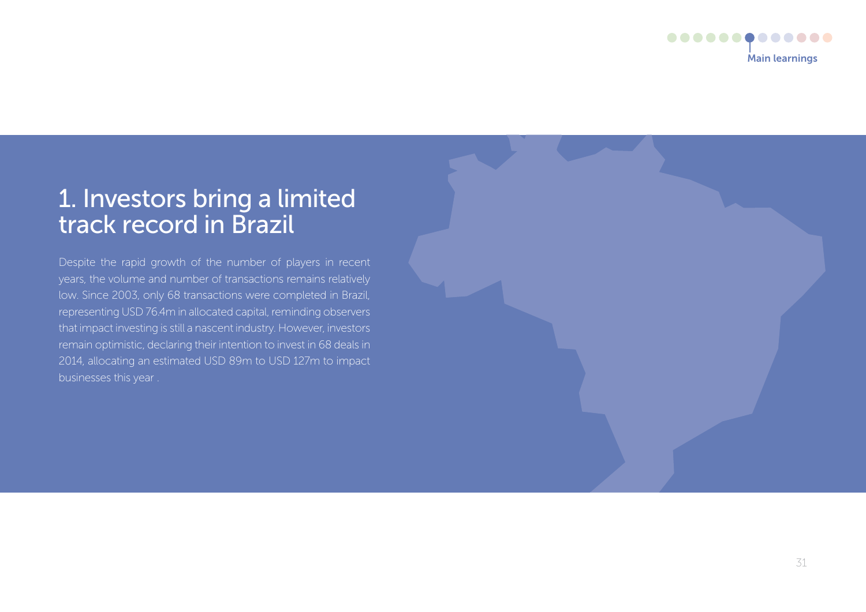

## 1. Investors bring a limited track record in Brazil

Despite the rapid growth of the number of players in recent years, the volume and number of transactions remains relatively low. Since 2003, only 68 transactions were completed in Brazil, representing USD 76.4m in allocated capital, reminding observers that impact investing is still a nascent industry. However, investors remain optimistic, declaring their intention to invest in 68 deals in 2014, allocating an estimated USD 89m to USD 127m to impact businesses this year .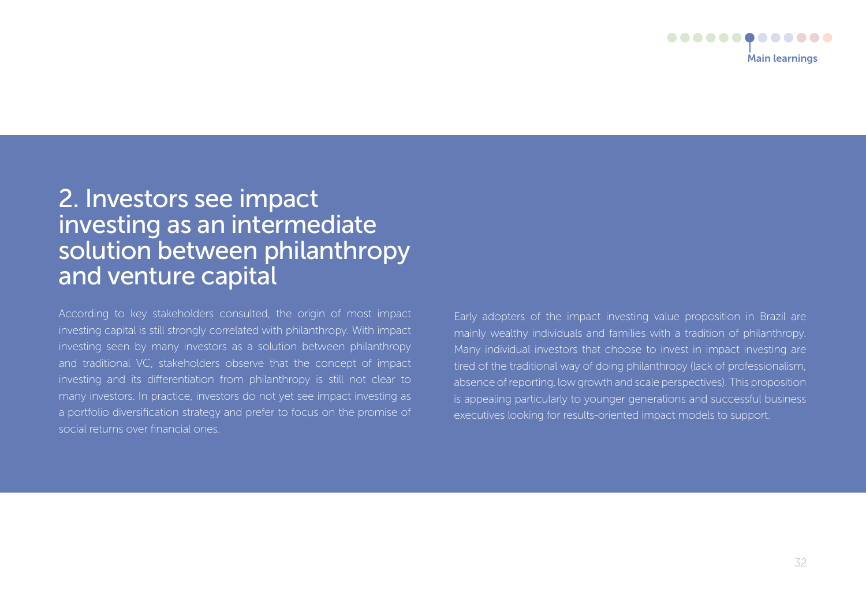

## 2. Investors see impact investing as an intermediate solution between philanthropy and venture capital

According to key stakeholders consulted, the origin of most impact investing capital is still strongly correlated with philanthropy. With impact investing seen by many investors as a solution between philanthropy and traditional VC, stakeholders observe that the concept of impact investing and its differentiation from philanthropy is still not clear to many investors. In practice, investors do not yet see impact investing as a portfolio diversification strategy and prefer to focus on the promise of social returns over financial ones.

Early adopters of the impact investing value proposition in Brazil are mainly wealthy individuals and families with a tradition of philanthropy. Many individual investors that choose to invest in impact investing are tired of the traditional way of doing philanthropy (lack of professionalism, absence of reporting, low growth and scale perspectives). This proposition is appealing particularly to younger generations and successful business executives looking for results-oriented impact models to support.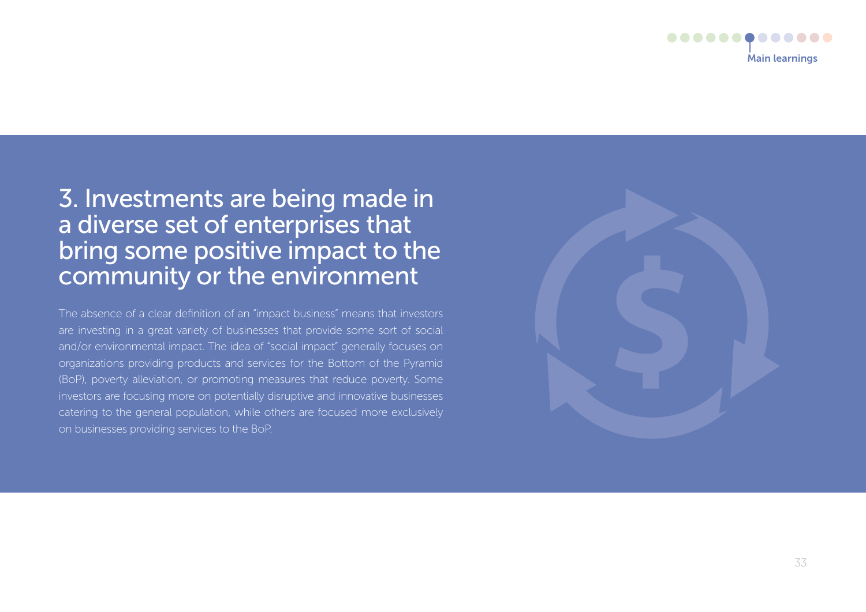

## 3. Investments are being made in a diverse set of enterprises that bring some positive impact to the community or the environment

The absence of a clear definition of an "impact business" means that investors are investing in a great variety of businesses that provide some sort of social and/or environmental impact. The idea of "social impact" generally focuses on organizations providing products and services for the Bottom of the Pyramid (BoP), poverty alleviation, or promoting measures that reduce poverty. Some investors are focusing more on potentially disruptive and innovative businesses catering to the general population, while others are focused more exclusively on businesses providing services to the BoP.

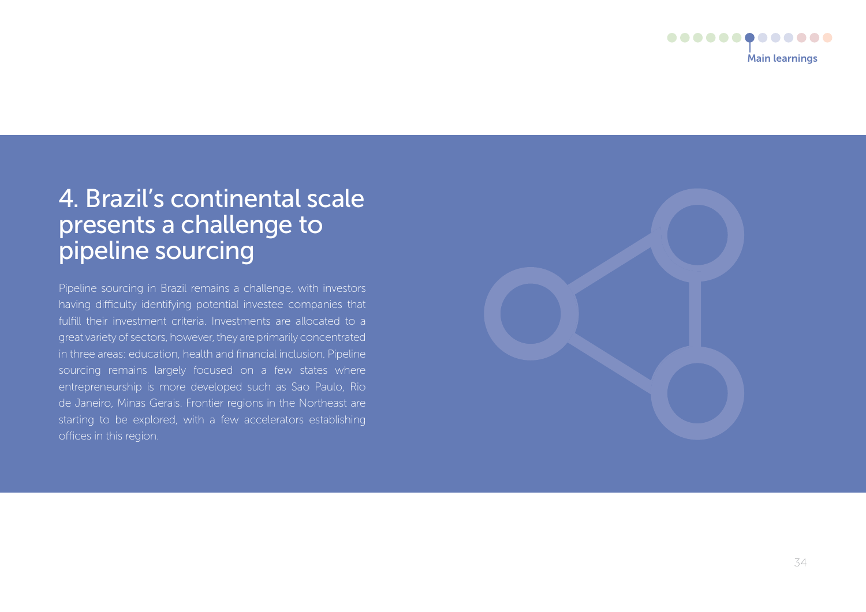

## 4. Brazil's continental scale presents a challenge to pipeline sourcing

Pipeline sourcing in Brazil remains a challenge, with investors having difficulty identifying potential investee companies that fulfill their investment criteria. Investments are allocated to a great variety of sectors, however, they are primarily concentrated in three areas: education, health and financial inclusion. Pipeline sourcing remains largely focused on a few states where entrepreneurship is more developed such as Sao Paulo, Rio de Janeiro, Minas Gerais. Frontier regions in the Northeast are starting to be explored, with a few accelerators establishing offices in this region.

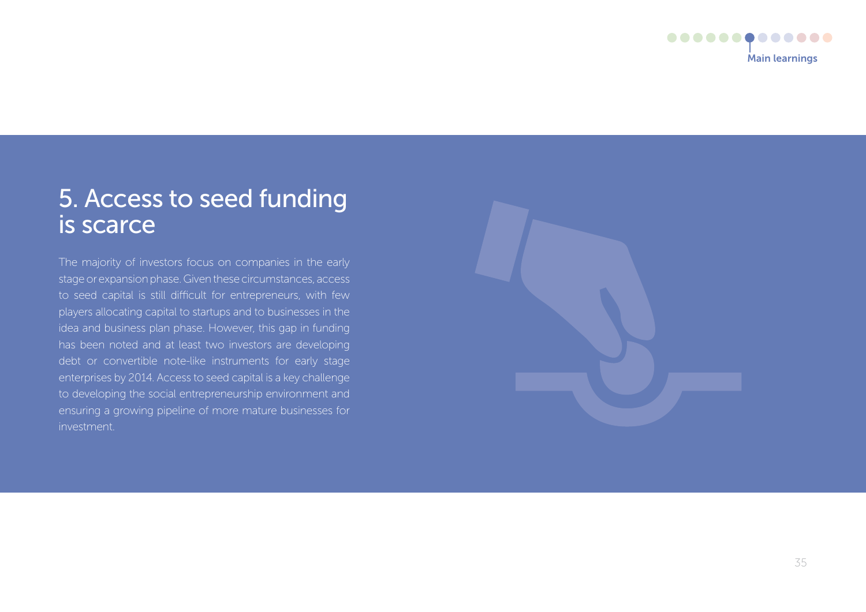

## 5. Access to seed funding is scarce

The majority of investors focus on companies in the early stage or expansion phase. Given these circumstances, access to seed capital is still difficult for entrepreneurs, with few players allocating capital to startups and to businesses in the idea and business plan phase. However, this gap in funding has been noted and at least two investors are developing debt or convertible note-like instruments for early stage enterprises by 2014. Access to seed capital is a key challenge to developing the social entrepreneurship environment and ensuring a growing pipeline of more mature businesses for investment.

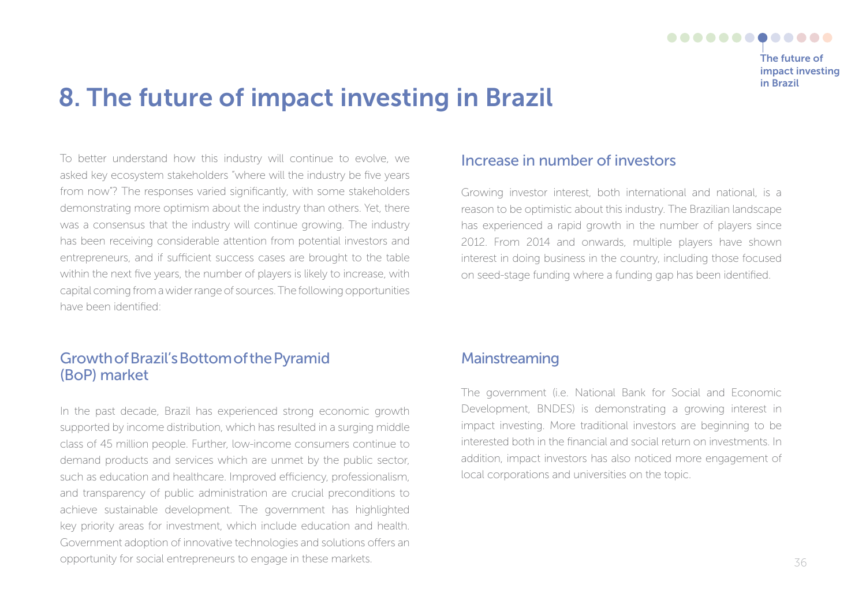

## 8. The future of impact investing in brazil

To better understand how this industry will continue to evolve, we asked key ecosystem stakeholders "where will the industry be five years from now"? The responses varied significantly, with some stakeholders demonstrating more optimism about the industry than others. Yet, there was a consensus that the industry will continue growing. The industry has been receiving considerable attention from potential investors and entrepreneurs, and if sufficient success cases are brought to the table within the next five years, the number of players is likely to increase, with capital coming from a wider range of sources. The following opportunities have been identified:

### Growth of Brazil's Bottom of the Pyramid (BoP) market

In the past decade, Brazil has experienced strong economic growth supported by income distribution, which has resulted in a surging middle class of 45 million people. Further, low-income consumers continue to demand products and services which are unmet by the public sector, such as education and healthcare. Improved efficiency, professionalism, and transparency of public administration are crucial preconditions to achieve sustainable development. The government has highlighted key priority areas for investment, which include education and health. Government adoption of innovative technologies and solutions offers an opportunity for social entrepreneurs to engage in these markets.

#### Increase in number of investors

Growing investor interest, both international and national, is a reason to be optimistic about this industry. The Brazilian landscape has experienced a rapid growth in the number of players since 2012. From 2014 and onwards, multiple players have shown interest in doing business in the country, including those focused on seed-stage funding where a funding gap has been identified.

### Mainstreaming

The government (i.e. National Bank for Social and Economic Development, BNDES) is demonstrating a growing interest in impact investing. More traditional investors are beginning to be interested both in the financial and social return on investments. In addition, impact investors has also noticed more engagement of local corporations and universities on the topic.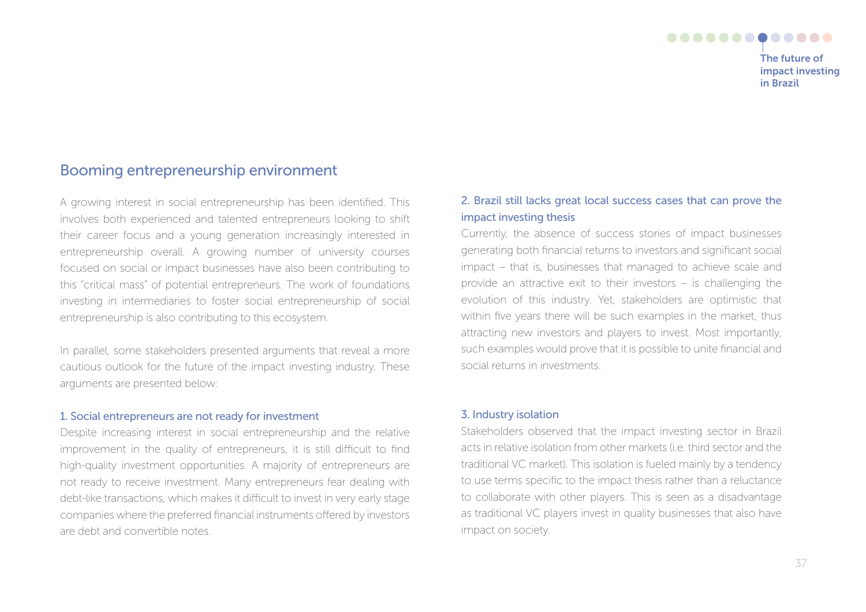#### ............. The future of impact investing in brazil

Booming entrepreneurship environment

A growing interest in social entrepreneurship has been identified. This involves both experienced and talented entrepreneurs looking to shift their career focus and a young generation increasingly interested in entrepreneurship overall. A growing number of university courses focused on social or impact businesses have also been contributing to this "critical mass" of potential entrepreneurs. The work of foundations investing in intermediaries to foster social entrepreneurship of social entrepreneurship is also contributing to this ecosystem.

In parallel, some stakeholders presented arguments that reveal a more cautious outlook for the future of the impact investing industry. These arguments are presented below:

#### 1. Social entrepreneurs are not ready for investment

Despite increasing interest in social entrepreneurship and the relative improvement in the quality of entrepreneurs, it is still difficult to find high-quality investment opportunities. A majority of entrepreneurs are not ready to receive investment. Many entrepreneurs fear dealing with debt-like transactions, which makes it difficult to invest in very early stage companies where the preferred financial instruments offered by investors are debt and convertible notes.

#### 2. Brazil still lacks great local success cases that can prove the impact investing thesis

Currently, the absence of success stories of impact businesses generating both financial returns to investors and significant social impact – that is, businesses that managed to achieve scale and provide an attractive exit to their investors – is challenging the evolution of this industry. Yet, stakeholders are optimistic that within five years there will be such examples in the market, thus attracting new investors and players to invest. Most importantly, such examples would prove that it is possible to unite financial and social returns in investments.

#### 3. Industry isolation

Stakeholders observed that the impact investing sector in Brazil acts in relative isolation from other markets (i.e. third sector and the traditional VC market). This isolation is fueled mainly by a tendency to use terms specific to the impact thesis rather than a reluctance to collaborate with other players. This is seen as a disadvantage as traditional VC players invest in quality businesses that also have impact on society.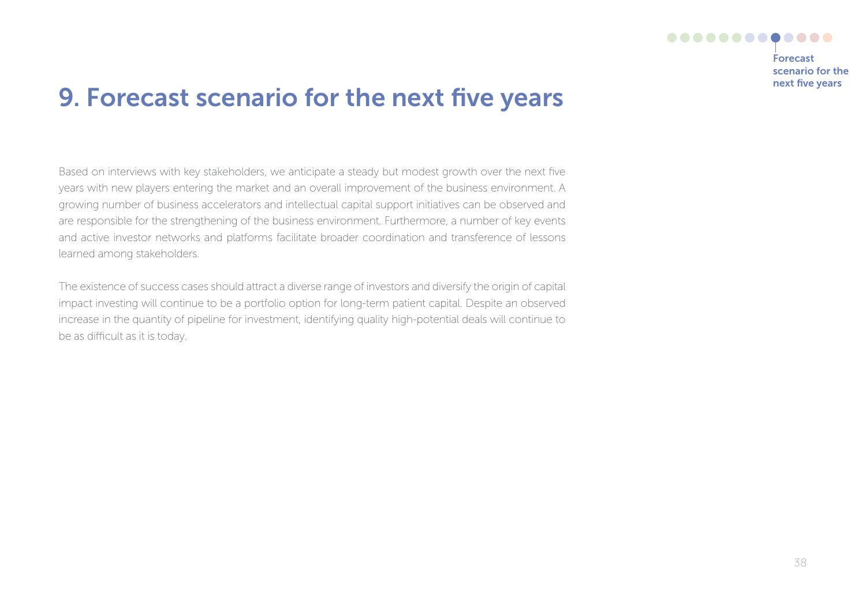

forecast scenario for the next five years

## 9. Forecast scenario for the next five years

Based on interviews with key stakeholders, we anticipate a steady but modest growth over the next five years with new players entering the market and an overall improvement of the business environment. A growing number of business accelerators and intellectual capital support initiatives can be observed and are responsible for the strengthening of the business environment. Furthermore, a number of key events and active investor networks and platforms facilitate broader coordination and transference of lessons learned among stakeholders.

The existence of success cases should attract a diverse range of investors and diversify the origin of capital impact investing will continue to be a portfolio option for long-term patient capital. Despite an observed increase in the quantity of pipeline for investment, identifying quality high-potential deals will continue to be as difficult as it is today.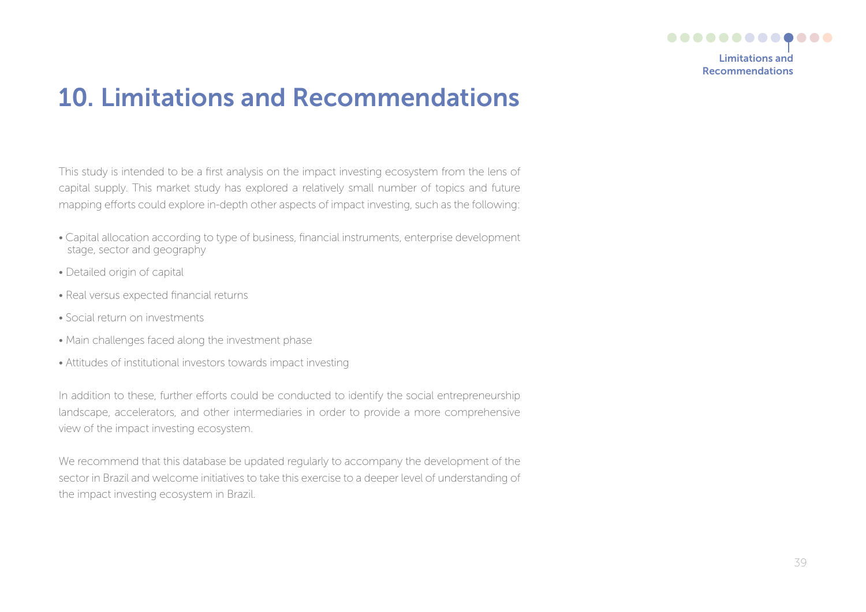

## 10. Limitations and Recommendations

This study is intended to be a first analysis on the impact investing ecosystem from the lens of capital supply. This market study has explored a relatively small number of topics and future mapping efforts could explore in-depth other aspects of impact investing, such as the following:

- Capital allocation according to type of business, financial instruments, enterprise development stage, sector and geography
- Detailed origin of capital
- Real versus expected financial returns
- Social return on investments
- Main challenges faced along the investment phase
- Attitudes of institutional investors towards impact investing

In addition to these, further efforts could be conducted to identify the social entrepreneurship landscape, accelerators, and other intermediaries in order to provide a more comprehensive view of the impact investing ecosystem.

We recommend that this database be updated regularly to accompany the development of the sector in Brazil and welcome initiatives to take this exercise to a deeper level of understanding of the impact investing ecosystem in Brazil.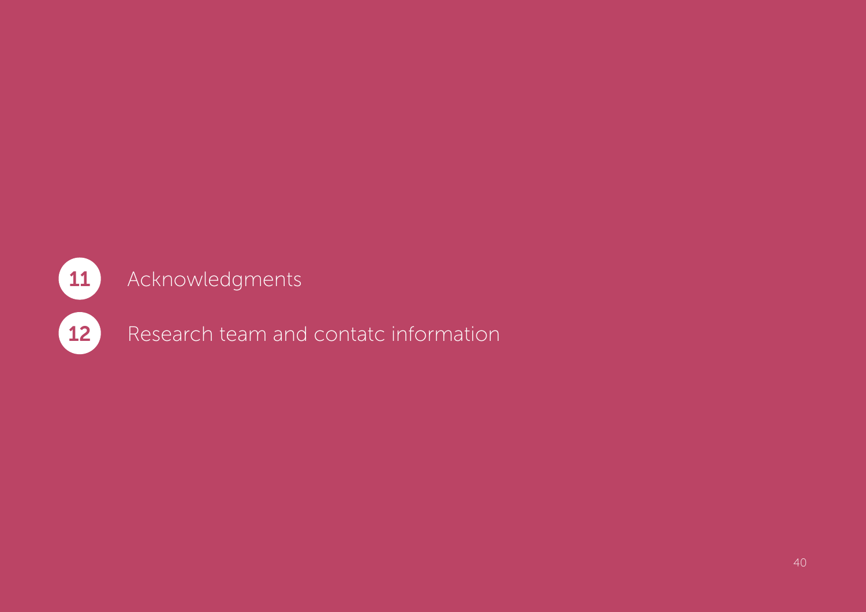## 11 Acknowledgments

12 Research team and contatc information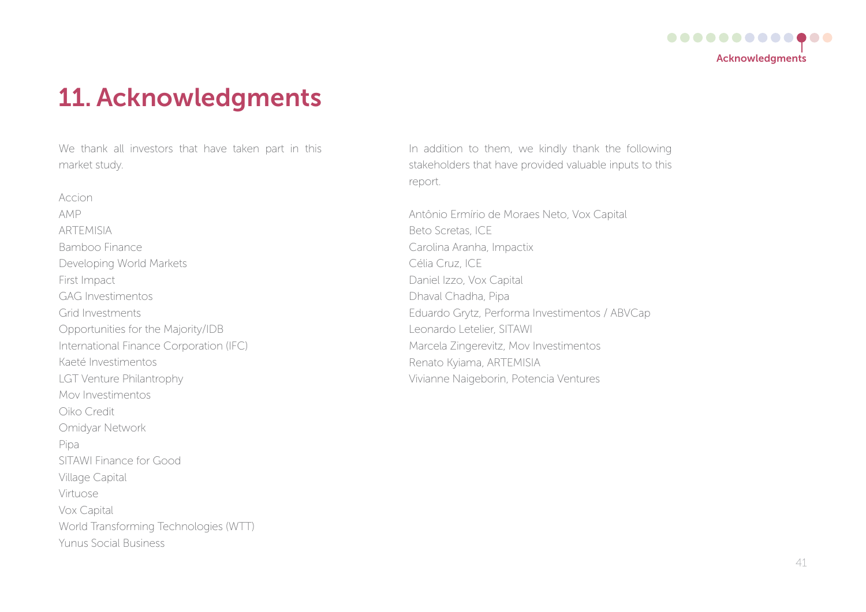

## 11. Acknowledgments

We thank all investors that have taken part in this market study.

Accion AMP ARTEMISIA Bamboo Finance Developing World Markets First Impact GAG Investimentos Grid Investments Opportunities for the Majority/IDB International Finance Corporation (IFC) Kaeté Investimentos LGT Venture Philantrophy Mov Investimentos Oiko Credit Omidyar Network Pipa SITAWI Finance for Good Village Capital Virtuose Vox Capital World Transforming Technologies (WTT) Yunus Social Business

In addition to them, we kindly thank the following stakeholders that have provided valuable inputs to this report.

Antônio Ermírio de Moraes Neto, Vox Capital Beto Scretas, ICE Carolina Aranha, Impactix Célia Cruz, ICE Daniel Izzo, Vox Capital Dhaval Chadha, Pipa Eduardo Grytz, Performa Investimentos / ABVCap Leonardo Letelier, SITAWI Marcela Zingerevitz, Mov Investimentos Renato Kyiama, ARTEMISIA Vivianne Naigeborin, Potencia Ventures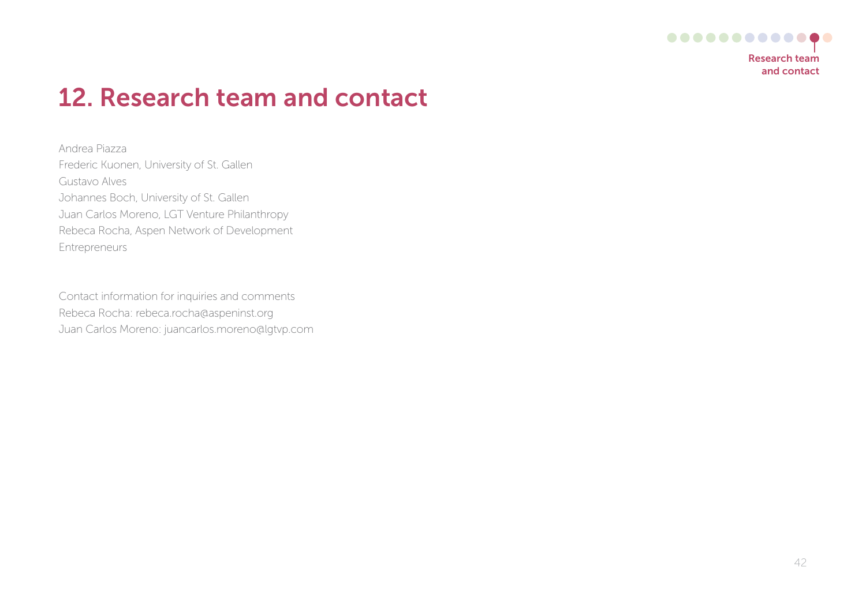

## 12. Research team and contact

Andrea Piazza Frederic Kuonen, University of St. Gallen Gustavo Alves Johannes Boch, University of St. Gallen Juan Carlos Moreno, LGT Venture Philanthropy Rebeca Rocha, Aspen Network of Development Entrepreneurs

Contact information for inquiries and comments Rebeca Rocha: rebeca.rocha@aspeninst.org Juan Carlos Moreno: juancarlos.moreno@lgtvp.com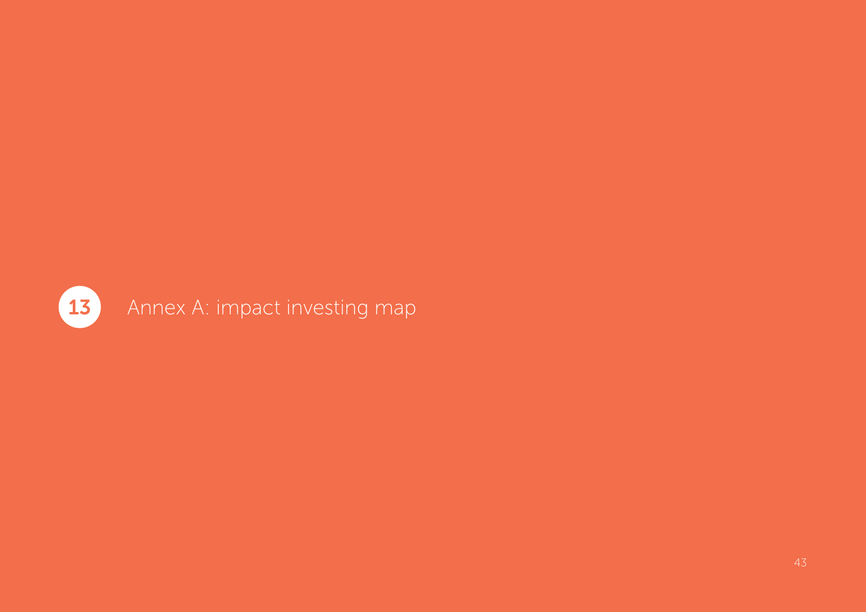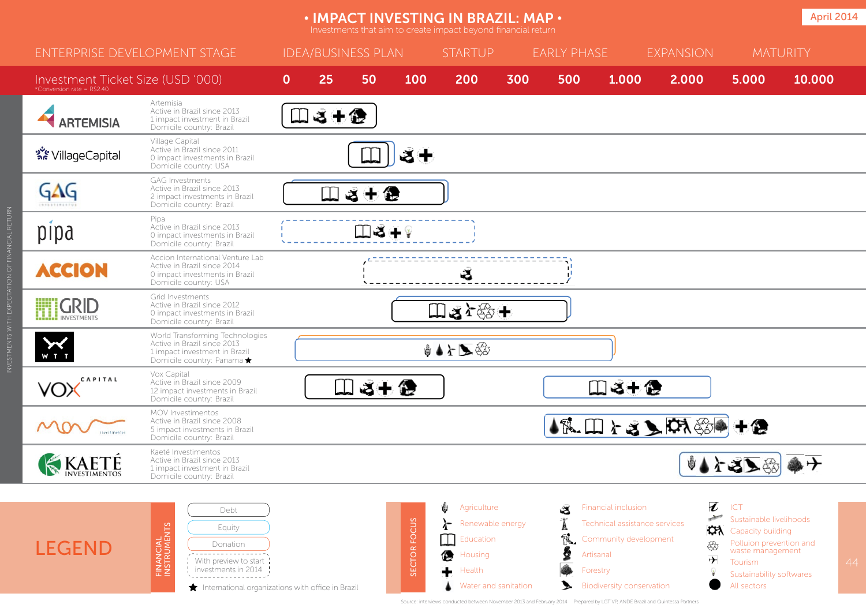#### **IMPACT INVESTING IN BRAZIL: MAP • April 2014 April 2014**

| <b>ENTERPRISE DEVELOPMENT STAGE</b>                                   |                                                                                                                                                             | <b>IDEA/BUSINESS PLAN</b> |        |      |              | <b>STARTUP</b>                                                                                      |     | <b>EARLY PHASE</b> |                                                                                                                                            | <b>EXPANSION</b>                                                                                      |                                                                         | <b>MATURITY</b>                                                                                                                                          |        |    |
|-----------------------------------------------------------------------|-------------------------------------------------------------------------------------------------------------------------------------------------------------|---------------------------|--------|------|--------------|-----------------------------------------------------------------------------------------------------|-----|--------------------|--------------------------------------------------------------------------------------------------------------------------------------------|-------------------------------------------------------------------------------------------------------|-------------------------------------------------------------------------|----------------------------------------------------------------------------------------------------------------------------------------------------------|--------|----|
| Investment Ticket Size (USD '000)<br>*Conversion rate = $R\hat{S}240$ |                                                                                                                                                             | $\mathbf{0}$              | 25     | 50   | 100          | 200                                                                                                 | 300 | 500                | 1.000                                                                                                                                      | 2.000                                                                                                 |                                                                         | 5.000                                                                                                                                                    | 10.000 |    |
| <b>ARTEMISIA</b>                                                      | Artemisia<br>Active in Brazil since 2013<br>1 impact investment in Brazil<br>Domicile country: Brazil                                                       | Щ                         | 日ごも色   |      |              |                                                                                                     |     |                    |                                                                                                                                            |                                                                                                       |                                                                         |                                                                                                                                                          |        |    |
| <b>देहैं VillageCapital</b>                                           | Village Capital<br>Active in Brazil since 2011<br>0 impact investments in Brazil<br>Domicile country: USA                                                   |                           |        |      | डँ⊭          |                                                                                                     |     |                    |                                                                                                                                            |                                                                                                       |                                                                         |                                                                                                                                                          |        |    |
| GAG<br><b><i><u><u><b>A</b></u></u></i></b>                           | <b>GAG Investments</b><br>Active in Brazil since 2013<br>2 impact investments in Brazil<br>Domicile country: Brazil                                         |                           | $\Box$ | 8十色  |              |                                                                                                     |     |                    |                                                                                                                                            |                                                                                                       |                                                                         |                                                                                                                                                          |        |    |
| pipa                                                                  | Pipa<br>Active in Brazil since 2013<br>0 impact investments in Brazil<br>Domicile country: Brazil                                                           |                           |        | Ⅲる+? |              |                                                                                                     |     |                    |                                                                                                                                            |                                                                                                       |                                                                         |                                                                                                                                                          |        |    |
| <b>ACCION</b>                                                         | Accion International Venture Lab<br>Active in Brazil since 2014<br>0 impact investments in Brazil<br>Domicile country: USA                                  |                           |        |      |              | Š                                                                                                   |     |                    |                                                                                                                                            |                                                                                                       |                                                                         |                                                                                                                                                          |        |    |
| <b>ETTI GRID</b>                                                      | Grid Investments<br>Active in Brazil since 2012<br>0 impact investments in Brazil<br>Domicile country: Brazil                                               |                           |        |      |              | Ⅲるケ鈴+                                                                                               |     |                    |                                                                                                                                            |                                                                                                       |                                                                         |                                                                                                                                                          |        |    |
| $\sum_{N=1}^{N}$                                                      | World Transforming Technologies<br>Active in Brazil since 2013<br>1 impact investment in Brazil<br>Domicile country: Panama ★                               |                           |        |      |              | ♦▲⊁▶۞                                                                                               |     |                    |                                                                                                                                            |                                                                                                       |                                                                         |                                                                                                                                                          |        |    |
| CAPITAL<br>VOX                                                        | Vox Capital<br>Active in Brazil since 2009<br>12 impact investments in Brazil<br>Domicile country: Brazil                                                   |                           | Щ      | さ十 色 |              |                                                                                                     |     |                    | Ⅲ る+色                                                                                                                                      |                                                                                                       |                                                                         |                                                                                                                                                          |        |    |
| <b>investimentos</b>                                                  | MOV Investimentos<br>Active in Brazil since 2008<br>5 impact investments in Brazil<br>Domicile country: Brazil                                              |                           |        |      |              |                                                                                                     |     |                    |                                                                                                                                            | $\mathbf{A}^{\mathcal{R}}$ . $\square$ $\mathcal{L}$ as $\blacktriangleright$ $\square$ $\mathcal{R}$ |                                                                         |                                                                                                                                                          |        |    |
| KKAETÉ                                                                | Kaeté Investimentos<br>Active in Brazil since 2013<br>1 impact investment in Brazil<br>Domicile country: Brazil                                             |                           |        |      |              |                                                                                                     |     |                    |                                                                                                                                            |                                                                                                       |                                                                         | 小个名人的命子                                                                                                                                                  |        |    |
|                                                                       |                                                                                                                                                             |                           |        |      |              |                                                                                                     |     |                    |                                                                                                                                            |                                                                                                       |                                                                         |                                                                                                                                                          |        |    |
| <b>LEGEND</b>                                                         | Debt<br>FINANCIAL<br>INSTRUMENTS<br>Equity<br>Donation<br>With preview to start<br>investments in 2014<br>International organizations with office in Brazil |                           |        |      | SECTOR FOCUS | Ů<br>Agriculture<br>Renewable energy<br>Education<br>儋<br>Housing<br>Health<br>Water and sanitation |     | Z                  | Financial inclusion<br>Technical assistance services<br>Community development<br>Artisanal<br>Forestry<br><b>Biodiversity conservation</b> |                                                                                                       | ł<br>$\frac{1}{\sqrt{2}}$<br><b>CA</b><br>භි<br>$\overline{\mathbf{r}}$ | ICT<br>Sustainable livelihoods<br>Capacity building<br>Polluion prevention and<br>waste management<br>Tourism<br>Sustainability softwares<br>All sectors |        | 44 |

INVESTMENTS WITH EXPECTATION OF FINANCIAL RETURN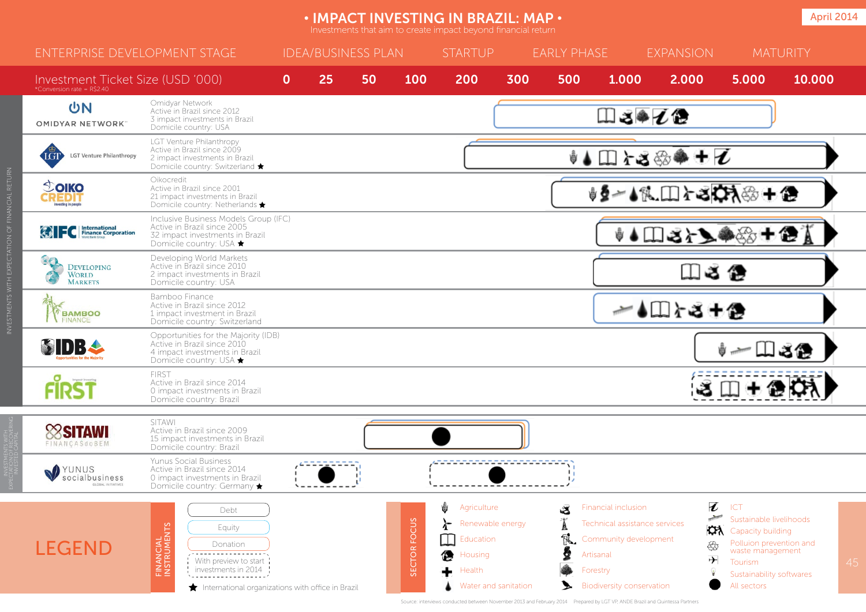#### **IMPACT INVESTING IN BRAZIL: MAP • April 2014 April 2014**

| <b>ENTERPRISE DEVELOPMENT STAGE</b>                              |                                                                                                                                                                                                               | <b>IDEA/BUSINESS PLAN</b> |    |    |                        | <b>STARTUP</b>                                                                        | <b>EARLY PHASE</b>   |       |                                                                                                                                            | <b>EXPANSION</b>                                                                            |                                                                                                                                                          | <b>MATURITY</b> |    |  |  |
|------------------------------------------------------------------|---------------------------------------------------------------------------------------------------------------------------------------------------------------------------------------------------------------|---------------------------|----|----|------------------------|---------------------------------------------------------------------------------------|----------------------|-------|--------------------------------------------------------------------------------------------------------------------------------------------|---------------------------------------------------------------------------------------------|----------------------------------------------------------------------------------------------------------------------------------------------------------|-----------------|----|--|--|
| Investment Ticket Size (USD '000)<br>*Conversion rate = R\$2.40  |                                                                                                                                                                                                               | $\mathbf{0}$              | 25 | 50 | 100                    | 200                                                                                   | 300                  | 500   | 1.000                                                                                                                                      | 2.000                                                                                       | 5.000                                                                                                                                                    | 10.000          |    |  |  |
| <b>UN</b><br><b>OMIDYAR NETWORK</b>                              | Omidyar Network<br>Active in Brazil since 2012<br>3 impact investments in Brazil<br>Domicile country: USA                                                                                                     |                           |    |    |                        |                                                                                       |                      | Ⅲ3●乙色 |                                                                                                                                            |                                                                                             |                                                                                                                                                          |                 |    |  |  |
| LGT<br><b>LGT Venture Philanthropy</b>                           | LGT Venture Philanthropy<br>Active in Brazil since 2009<br>2 impact investments in Brazil<br>Domicile country: Switzerland ★                                                                                  |                           |    |    |                        |                                                                                       |                      |       |                                                                                                                                            | $\bullet$ ( $\Box$ ) $\Box$ $\Diamond$ $\circ$ $\circ$ $\bullet$ + $\overline{\mathcal{U}}$ |                                                                                                                                                          |                 |    |  |  |
| <b>TOIKO</b><br>nvesting in people                               | Oikocredit<br>Active in Brazil since 2001<br>21 impact investments in Brazil<br>Domicile country: Netherlands *                                                                                               |                           |    |    |                        |                                                                                       |                      |       |                                                                                                                                            | <b>∮∮∼≬私□≻3☆☆☆+●</b>                                                                        |                                                                                                                                                          |                 |    |  |  |
| <b>C</b> International                                           | Inclusive Business Models Group (IFC)<br>Active in Brazil since 2005<br>32 impact investments in Brazil<br>Domicile country: USA ★                                                                            |                           |    |    |                        |                                                                                       |                      |       |                                                                                                                                            | <b>↓↓□ 3} } ● ☆ + ● ▲</b>                                                                   |                                                                                                                                                          |                 |    |  |  |
| $\cdot$ 0<br><b>DEVELOPING</b><br><b>WORLD</b><br><b>MARKETS</b> | Developing World Markets<br>Active in Brazil since 2010<br>2 impact investments in Brazil<br>Domicile country: USA                                                                                            |                           |    |    |                        |                                                                                       |                      |       |                                                                                                                                            | 口さ色                                                                                         |                                                                                                                                                          |                 |    |  |  |
| <b>BAMBOO</b><br><b>FINANCE</b>                                  | Bamboo Finance<br>Active in Brazil since 2012<br>1 impact investment in Brazil<br>Domicile country: Switzerland                                                                                               |                           |    |    |                        |                                                                                       |                      |       |                                                                                                                                            | → ◆Ⅲ r -3 + 企                                                                               |                                                                                                                                                          |                 |    |  |  |
| <b>MDBA</b>                                                      | Opportunities for the Majority (IDB)<br>Active in Brazil since 2010<br>4 impact investments in Brazil<br>Domicile country: USA ★                                                                              |                           |    |    |                        |                                                                                       |                      |       |                                                                                                                                            |                                                                                             |                                                                                                                                                          | ᄔᅝᄹ             |    |  |  |
|                                                                  | <b>FIRST</b><br>Active in Brazil since 2014<br>0 impact investments in Brazil<br>Domicile country: Brazil                                                                                                     |                           |    |    |                        |                                                                                       |                      |       |                                                                                                                                            |                                                                                             | 3日+色草                                                                                                                                                    |                 |    |  |  |
| <b>Sitawi</b><br>FINANCASdoBEM                                   | <b>SITAWI</b><br>Active in Brazil since 2009<br>15 impact investments in Brazil<br>Domicile country: Brazil                                                                                                   |                           |    |    |                        |                                                                                       |                      |       |                                                                                                                                            |                                                                                             |                                                                                                                                                          |                 |    |  |  |
| YUNUS<br>socialbusiness<br>GLOBAL INITIATIVE:                    | <b>Yunus Social Business</b><br>Active in Brazil since 2014<br>0 impact investments in Brazil<br>Domicile country: Germany ★                                                                                  |                           |    |    |                        |                                                                                       |                      |       |                                                                                                                                            |                                                                                             |                                                                                                                                                          |                 |    |  |  |
| <b>LEGEND</b>                                                    | Debt<br><b>FINANCIAL</b><br>INSTRUMENTS<br>Equity<br>Donation<br><u> - - - - - - - - - - - - - - - -</u><br>With preview to start<br>investments in 2014<br>International organizations with office in Brazil |                           |    |    | <b>FOCUS</b><br>SECTOR | Ů<br>Agriculture<br>Renewable energy<br>$\bot$<br>Education<br>偬<br>Housing<br>Health | Water and sanitation | S     | Financial inclusion<br>Technical assistance services<br>Community development<br>Artisanal<br>Forestry<br><b>Biodiversity conservation</b> | ł<br>C٨<br>43<br>→                                                                          | ICT<br>Sustainable livelihoods<br>Capacity building<br>Polluion prevention and<br>waste management<br>Tourism<br>Sustainability softwares<br>All sectors |                 | 45 |  |  |

INVESTMENTS WITH EXPECTATION OF FINANCIAL RETURN

Source: interviews conducted between November 2013 and February 2014 Prepared by LGT VP, ANDE Brazil and Quintessa Partners